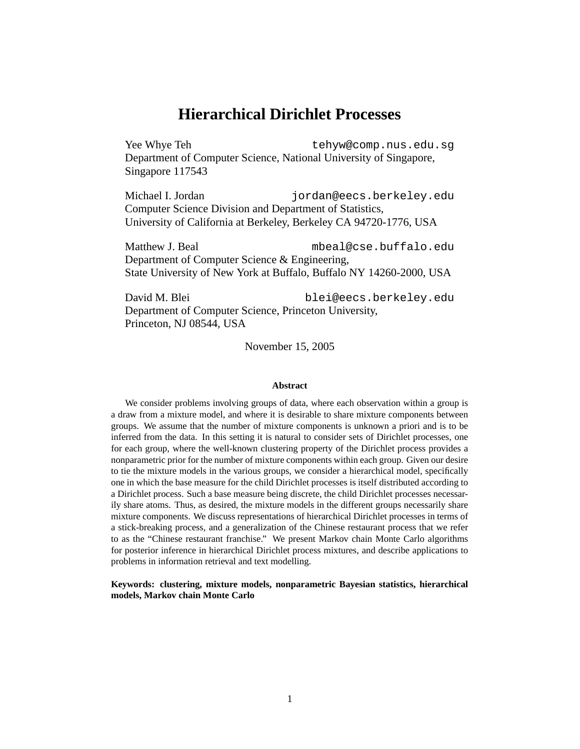# **Hierarchical Dirichlet Processes**

Yee Whye Teh tehyw@comp.nus.edu.sg Department of Computer Science, National University of Singapore, Singapore 117543

Michael I. Jordan deecs.berkeley.edu Computer Science Division and Department of Statistics, University of California at Berkeley, Berkeley CA 94720-1776, USA

Matthew J. Beal mbeal@cse.buffalo.edu Department of Computer Science & Engineering, State University of New York at Buffalo, Buffalo NY 14260-2000, USA

David M. Blei blei@eecs.berkeley.edu Department of Computer Science, Princeton University, Princeton, NJ 08544, USA

November 15, 2005

#### **Abstract**

We consider problems involving groups of data, where each observation within a group is a draw from a mixture model, and where it is desirable to share mixture components between groups. We assume that the number of mixture components is unknown a priori and is to be inferred from the data. In this setting it is natural to consider sets of Dirichlet processes, one for each group, where the well-known clustering property of the Dirichlet process provides a nonparametric prior for the number of mixture components within each group. Given our desire to tie the mixture models in the various groups, we consider a hierarchical model, specifically one in which the base measure for the child Dirichlet processes is itself distributed according to a Dirichlet process. Such a base measure being discrete, the child Dirichlet processes necessarily share atoms. Thus, as desired, the mixture models in the different groups necessarily share mixture components. We discuss representations of hierarchical Dirichlet processes in terms of a stick-breaking process, and a generalization of the Chinese restaurant process that we refer to as the "Chinese restaurant franchise." We present Markov chain Monte Carlo algorithms for posterior inference in hierarchical Dirichlet process mixtures, and describe applications to problems in information retrieval and text modelling.

**Keywords: clustering, mixture models, nonparametric Bayesian statistics, hierarchical models, Markov chain Monte Carlo**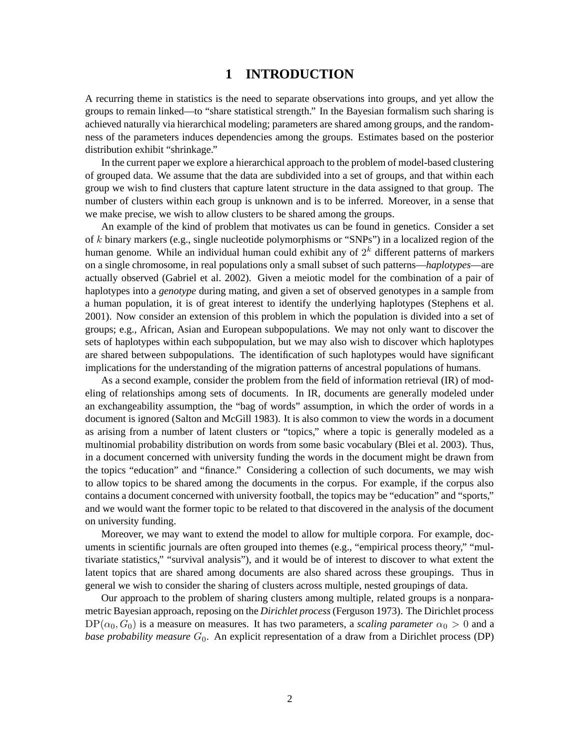# **1 INTRODUCTION**

A recurring theme in statistics is the need to separate observations into groups, and yet allow the groups to remain linked—to "share statistical strength." In the Bayesian formalism such sharing is achieved naturally via hierarchical modeling; parameters are shared among groups, and the randomness of the parameters induces dependencies among the groups. Estimates based on the posterior distribution exhibit "shrinkage."

In the current paper we explore a hierarchical approach to the problem of model-based clustering of grouped data. We assume that the data are subdivided into a set of groups, and that within each group we wish to find clusters that capture latent structure in the data assigned to that group. The number of clusters within each group is unknown and is to be inferred. Moreover, in a sense that we make precise, we wish to allow clusters to be shared among the groups.

An example of the kind of problem that motivates us can be found in genetics. Consider a set of  $k$  binary markers (e.g., single nucleotide polymorphisms or "SNPs") in a localized region of the human genome. While an individual human could exhibit any of  $2^k$  different patterns of markers on a single chromosome, in real populations only a small subset of such patterns—*haplotypes*—are actually observed (Gabriel et al. 2002). Given a meiotic model for the combination of a pair of haplotypes into a *genotype* during mating, and given a set of observed genotypes in a sample from a human population, it is of great interest to identify the underlying haplotypes (Stephens et al. 2001). Now consider an extension of this problem in which the population is divided into a set of groups; e.g., African, Asian and European subpopulations. We may not only want to discover the sets of haplotypes within each subpopulation, but we may also wish to discover which haplotypes are shared between subpopulations. The identification of such haplotypes would have significant implications for the understanding of the migration patterns of ancestral populations of humans.

As a second example, consider the problem from the field of information retrieval (IR) of modeling of relationships among sets of documents. In IR, documents are generally modeled under an exchangeability assumption, the "bag of words" assumption, in which the order of words in a document is ignored (Salton and McGill 1983). It is also common to view the words in a document as arising from a number of latent clusters or "topics," where a topic is generally modeled as a multinomial probability distribution on words from some basic vocabulary (Blei et al. 2003). Thus, in a document concerned with university funding the words in the document might be drawn from the topics "education" and "finance." Considering a collection of such documents, we may wish to allow topics to be shared among the documents in the corpus. For example, if the corpus also contains a document concerned with university football, the topics may be "education" and "sports," and we would want the former topic to be related to that discovered in the analysis of the document on university funding.

Moreover, we may want to extend the model to allow for multiple corpora. For example, documents in scientific journals are often grouped into themes (e.g., "empirical process theory," "multivariate statistics," "survival analysis"), and it would be of interest to discover to what extent the latent topics that are shared among documents are also shared across these groupings. Thus in general we wish to consider the sharing of clusters across multiple, nested groupings of data.

Our approach to the problem of sharing clusters among multiple, related groups is a nonparametric Bayesian approach, reposing on the *Dirichlet process* (Ferguson 1973). The Dirichlet process  $DP(\alpha_0, G_0)$  is a measure on measures. It has two parameters, a *scaling parameter*  $\alpha_0 > 0$  and a *base probability measure*  $G_0$ . An explicit representation of a draw from a Dirichlet process (DP)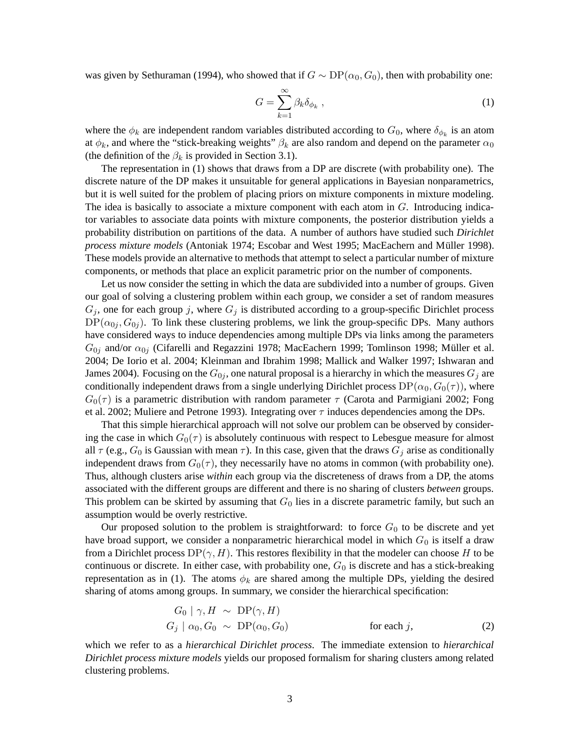was given by Sethuraman (1994), who showed that if  $G \sim DP(\alpha_0, G_0)$ , then with probability one:

$$
G = \sum_{k=1}^{\infty} \beta_k \delta_{\phi_k} , \qquad (1)
$$

where the  $\phi_k$  are independent random variables distributed according to  $G_0$ , where  $\delta_{\phi_k}$  is an atom at  $\phi_k$ , and where the "stick-breaking weights"  $\beta_k$  are also random and depend on the parameter  $\alpha_0$ (the definition of the  $\beta_k$  is provided in Section 3.1).

The representation in (1) shows that draws from a DP are discrete (with probability one). The discrete nature of the DP makes it unsuitable for general applications in Bayesian nonparametrics, but it is well suited for the problem of placing priors on mixture components in mixture modeling. The idea is basically to associate a mixture component with each atom in  $G$ . Introducing indicator variables to associate data points with mixture components, the posterior distribution yields a probability distribution on partitions of the data. A number of authors have studied such *Dirichlet process mixture models* (Antoniak 1974; Escobar and West 1995; MacEachern and Müller 1998). These models provide an alternative to methods that attempt to select a particular number of mixture components, or methods that place an explicit parametric prior on the number of components.

Let us now consider the setting in which the data are subdivided into a number of groups. Given our goal of solving a clustering problem within each group, we consider a set of random measures  $G_j$ , one for each group j, where  $G_j$  is distributed according to a group-specific Dirichlet process  $DP(\alpha_{0i}, G_{0i})$ . To link these clustering problems, we link the group-specific DPs. Many authors have considered ways to induce dependencies among multiple DPs via links among the parameters  $G_{0i}$  and/or  $\alpha_{0i}$  (Cifarelli and Regazzini 1978; MacEachern 1999; Tomlinson 1998; Müller et al. 2004; De Iorio et al. 2004; Kleinman and Ibrahim 1998; Mallick and Walker 1997; Ishwaran and James 2004). Focusing on the  $G_{0j}$ , one natural proposal is a hierarchy in which the measures  $G_j$  are conditionally independent draws from a single underlying Dirichlet process  $DP(\alpha_0, G_0(\tau))$ , where  $G_0(\tau)$  is a parametric distribution with random parameter  $\tau$  (Carota and Parmigiani 2002; Fong et al. 2002; Muliere and Petrone 1993). Integrating over  $\tau$  induces dependencies among the DPs.

That this simple hierarchical approach will not solve our problem can be observed by considering the case in which  $G_0(\tau)$  is absolutely continuous with respect to Lebesgue measure for almost all  $\tau$  (e.g.,  $G_0$  is Gaussian with mean  $\tau$ ). In this case, given that the draws  $G_j$  arise as conditionally independent draws from  $G_0(\tau)$ , they necessarily have no atoms in common (with probability one). Thus, although clusters arise *within* each group via the discreteness of draws from a DP, the atoms associated with the different groups are different and there is no sharing of clusters *between* groups. This problem can be skirted by assuming that  $G_0$  lies in a discrete parametric family, but such an assumption would be overly restrictive.

Our proposed solution to the problem is straightforward: to force  $G_0$  to be discrete and yet have broad support, we consider a nonparametric hierarchical model in which  $G_0$  is itself a draw from a Dirichlet process  $DP(\gamma, H)$ . This restores flexibility in that the modeler can choose H to be continuous or discrete. In either case, with probability one,  $G_0$  is discrete and has a stick-breaking representation as in (1). The atoms  $\phi_k$  are shared among the multiple DPs, yielding the desired sharing of atoms among groups. In summary, we consider the hierarchical specification:

$$
G_0 | \gamma, H \sim \text{DP}(\gamma, H)
$$
  
\n
$$
G_j | \alpha_0, G_0 \sim \text{DP}(\alpha_0, G_0)
$$
 for each j, (2)

which we refer to as a *hierarchical Dirichlet process*. The immediate extension to *hierarchical Dirichlet process mixture models* yields our proposed formalism for sharing clusters among related clustering problems.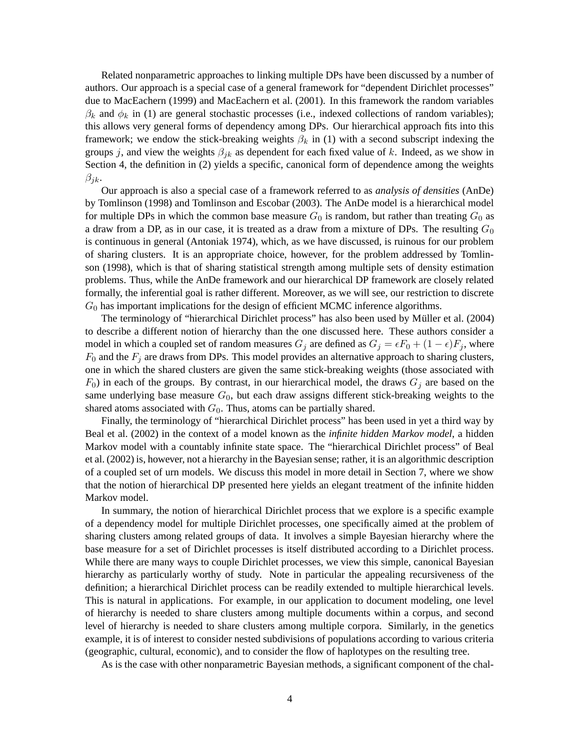Related nonparametric approaches to linking multiple DPs have been discussed by a number of authors. Our approach is a special case of a general framework for "dependent Dirichlet processes" due to MacEachern (1999) and MacEachern et al. (2001). In this framework the random variables  $\beta_k$  and  $\phi_k$  in (1) are general stochastic processes (i.e., indexed collections of random variables); this allows very general forms of dependency among DPs. Our hierarchical approach fits into this framework; we endow the stick-breaking weights  $\beta_k$  in (1) with a second subscript indexing the groups j, and view the weights  $\beta_{jk}$  as dependent for each fixed value of k. Indeed, as we show in Section 4, the definition in (2) yields a specific, canonical form of dependence among the weights  $\beta_{ik}$ .

Our approach is also a special case of a framework referred to as *analysis of densities* (AnDe) by Tomlinson (1998) and Tomlinson and Escobar (2003). The AnDe model is a hierarchical model for multiple DPs in which the common base measure  $G_0$  is random, but rather than treating  $G_0$  as a draw from a DP, as in our case, it is treated as a draw from a mixture of DPs. The resulting  $G_0$ is continuous in general (Antoniak 1974), which, as we have discussed, is ruinous for our problem of sharing clusters. It is an appropriate choice, however, for the problem addressed by Tomlinson (1998), which is that of sharing statistical strength among multiple sets of density estimation problems. Thus, while the AnDe framework and our hierarchical DP framework are closely related formally, the inferential goal is rather different. Moreover, as we will see, our restriction to discrete  $G_0$  has important implications for the design of efficient MCMC inference algorithms.

The terminology of "hierarchical Dirichlet process" has also been used by Müller et al. (2004) to describe a different notion of hierarchy than the one discussed here. These authors consider a model in which a coupled set of random measures  $G_j$  are defined as  $G_j = \epsilon F_0 + (1 - \epsilon)F_j$ , where  $F_0$  and the  $F_j$  are draws from DPs. This model provides an alternative approach to sharing clusters, one in which the shared clusters are given the same stick-breaking weights (those associated with  $F_0$ ) in each of the groups. By contrast, in our hierarchical model, the draws  $G_i$  are based on the same underlying base measure  $G_0$ , but each draw assigns different stick-breaking weights to the shared atoms associated with  $G<sub>0</sub>$ . Thus, atoms can be partially shared.

Finally, the terminology of "hierarchical Dirichlet process" has been used in yet a third way by Beal et al. (2002) in the context of a model known as the *infinite hidden Markov model*, a hidden Markov model with a countably infinite state space. The "hierarchical Dirichlet process" of Beal et al. (2002) is, however, not a hierarchy in the Bayesian sense; rather, it is an algorithmic description of a coupled set of urn models. We discuss this model in more detail in Section 7, where we show that the notion of hierarchical DP presented here yields an elegant treatment of the infinite hidden Markov model.

In summary, the notion of hierarchical Dirichlet process that we explore is a specific example of a dependency model for multiple Dirichlet processes, one specifically aimed at the problem of sharing clusters among related groups of data. It involves a simple Bayesian hierarchy where the base measure for a set of Dirichlet processes is itself distributed according to a Dirichlet process. While there are many ways to couple Dirichlet processes, we view this simple, canonical Bayesian hierarchy as particularly worthy of study. Note in particular the appealing recursiveness of the definition; a hierarchical Dirichlet process can be readily extended to multiple hierarchical levels. This is natural in applications. For example, in our application to document modeling, one level of hierarchy is needed to share clusters among multiple documents within a corpus, and second level of hierarchy is needed to share clusters among multiple corpora. Similarly, in the genetics example, it is of interest to consider nested subdivisions of populations according to various criteria (geographic, cultural, economic), and to consider the flow of haplotypes on the resulting tree.

As is the case with other nonparametric Bayesian methods, a significant component of the chal-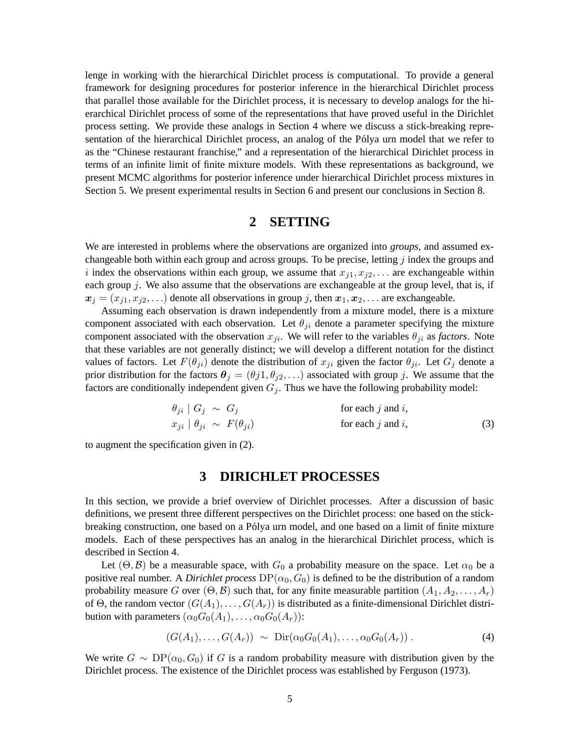lenge in working with the hierarchical Dirichlet process is computational. To provide a general framework for designing procedures for posterior inference in the hierarchical Dirichlet process that parallel those available for the Dirichlet process, it is necessary to develop analogs for the hierarchical Dirichlet process of some of the representations that have proved useful in the Dirichlet process setting. We provide these analogs in Section 4 where we discuss a stick-breaking representation of the hierarchical Dirichlet process, an analog of the Pólya urn model that we refer to as the "Chinese restaurant franchise," and a representation of the hierarchical Dirichlet process in terms of an infinite limit of finite mixture models. With these representations as background, we present MCMC algorithms for posterior inference under hierarchical Dirichlet process mixtures in Section 5. We present experimental results in Section 6 and present our conclusions in Section 8.

### **2 SETTING**

We are interested in problems where the observations are organized into *groups*, and assumed exchangeable both within each group and across groups. To be precise, letting  $j$  index the groups and i index the observations within each group, we assume that  $x_{i1}, x_{i2}, \ldots$  are exchangeable within each group  $j$ . We also assume that the observations are exchangeable at the group level, that is, if  $x_j = (x_{j1}, x_{j2}, \ldots)$  denote all observations in group j, then  $x_1, x_2, \ldots$  are exchangeable.

Assuming each observation is drawn independently from a mixture model, there is a mixture component associated with each observation. Let  $\theta_{ji}$  denote a parameter specifying the mixture component associated with the observation  $x_{ji}$ . We will refer to the variables  $\theta_{ji}$  as *factors*. Note that these variables are not generally distinct; we will develop a different notation for the distinct values of factors. Let  $F(\theta_{ji})$  denote the distribution of  $x_{ji}$  given the factor  $\theta_{ji}$ . Let  $G_j$  denote a prior distribution for the factors  $\theta_j = (\theta_j 1, \theta_{j2}, \ldots)$  associated with group j. We assume that the factors are conditionally independent given  $G_i$ . Thus we have the following probability model:

$$
\begin{aligned}\n\theta_{ji} \mid G_j &\sim G_j &\qquad \text{for each } j \text{ and } i, \\
x_{ji} \mid \theta_{ji} &\sim F(\theta_{ji}) &\qquad \text{for each } j \text{ and } i,\n\end{aligned}\n\tag{3}
$$

to augment the specification given in (2).

# **3 DIRICHLET PROCESSES**

In this section, we provide a brief overview of Dirichlet processes. After a discussion of basic definitions, we present three different perspectives on the Dirichlet process: one based on the stickbreaking construction, one based on a Pólya urn model, and one based on a limit of finite mixture models. Each of these perspectives has an analog in the hierarchical Dirichlet process, which is described in Section 4.

Let  $(\Theta, \mathcal{B})$  be a measurable space, with  $G_0$  a probability measure on the space. Let  $\alpha_0$  be a positive real number. A *Dirichlet process*  $DP(\alpha_0, G_0)$  is defined to be the distribution of a random probability measure G over  $(\Theta, \mathcal{B})$  such that, for any finite measurable partition  $(A_1, A_2, \ldots, A_r)$ of  $\Theta$ , the random vector  $(G(A_1), \ldots, G(A_r))$  is distributed as a finite-dimensional Dirichlet distribution with parameters  $(\alpha_0 G_0(A_1), \ldots, \alpha_0 G_0(A_r))$ :

$$
(G(A_1),\ldots,G(A_r)) \sim \mathrm{Dir}(\alpha_0 G_0(A_1),\ldots,\alpha_0 G_0(A_r)). \tag{4}
$$

We write  $G \sim DP(\alpha_0, G_0)$  if G is a random probability measure with distribution given by the Dirichlet process. The existence of the Dirichlet process was established by Ferguson (1973).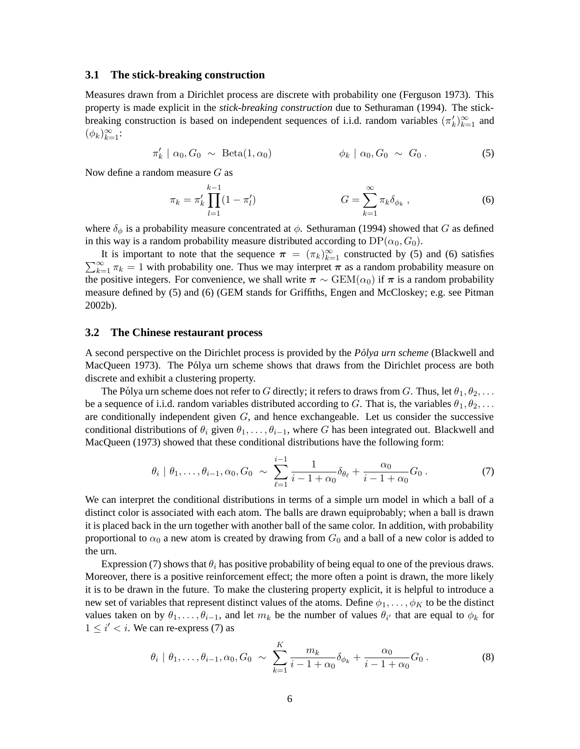#### **3.1 The stick-breaking construction**

Measures drawn from a Dirichlet process are discrete with probability one (Ferguson 1973). This property is made explicit in the *stick-breaking construction* due to Sethuraman (1994). The stickbreaking construction is based on independent sequences of i.i.d. random variables  $(\pi'_k)_{k=1}^{\infty}$  and  $(\phi_k)_{k=1}^\infty$  :

$$
\pi'_k \mid \alpha_0, G_0 \sim \text{Beta}(1, \alpha_0) \qquad \phi_k \mid \alpha_0, G_0 \sim G_0. \qquad (5)
$$

Now define a random measure G as

$$
\pi_k = \pi'_k \prod_{l=1}^{k-1} (1 - \pi'_l) \qquad G = \sum_{k=1}^{\infty} \pi_k \delta_{\phi_k} \,, \tag{6}
$$

where  $\delta_{\phi}$  is a probability measure concentrated at  $\phi$ . Sethuraman (1994) showed that G as defined in this way is a random probability measure distributed according to  $DP(\alpha_0, G_0)$ .

It is important to note that the sequence  $\pi = (\pi_k)_{k=1}^{\infty}$  constructed by (5) and (6) satisfies  $\sum_{k=1}^{\infty} \pi_k = 1$  with probability one. Thus we may interpret  $\pi$  as a random probability measure on the positive integers. For convenience, we shall write  $\pi \sim \text{GEM}(\alpha_0)$  if  $\pi$  is a random probability measure defined by (5) and (6) (GEM stands for Griffiths, Engen and McCloskey; e.g. see Pitman 2002b).

### **3.2 The Chinese restaurant process**

A second perspective on the Dirichlet process is provided by the *Polya ´ urn scheme* (Blackwell and MacQueen 1973). The Pólya urn scheme shows that draws from the Dirichlet process are both discrete and exhibit a clustering property.

The Pólya urn scheme does not refer to G directly; it refers to draws from G. Thus, let  $\theta_1, \theta_2, \ldots$ be a sequence of i.i.d. random variables distributed according to G. That is, the variables  $\theta_1, \theta_2, \ldots$ are conditionally independent given  $G$ , and hence exchangeable. Let us consider the successive conditional distributions of  $\theta_i$  given  $\theta_1, \ldots, \theta_{i-1}$ , where G has been integrated out. Blackwell and MacQueen (1973) showed that these conditional distributions have the following form:

$$
\theta_i \mid \theta_1, \dots, \theta_{i-1}, \alpha_0, G_0 \sim \sum_{\ell=1}^{i-1} \frac{1}{i-1+\alpha_0} \delta_{\theta_\ell} + \frac{\alpha_0}{i-1+\alpha_0} G_0 \,.
$$
 (7)

We can interpret the conditional distributions in terms of a simple urn model in which a ball of a distinct color is associated with each atom. The balls are drawn equiprobably; when a ball is drawn it is placed back in the urn together with another ball of the same color. In addition, with probability proportional to  $\alpha_0$  a new atom is created by drawing from  $G_0$  and a ball of a new color is added to the urn.

Expression (7) shows that  $\theta_i$  has positive probability of being equal to one of the previous draws. Moreover, there is a positive reinforcement effect; the more often a point is drawn, the more likely it is to be drawn in the future. To make the clustering property explicit, it is helpful to introduce a new set of variables that represent distinct values of the atoms. Define  $\phi_1, \dots, \phi_K$  to be the distinct values taken on by  $\theta_1, \ldots, \theta_{i-1}$ , and let  $m_k$  be the number of values  $\theta_{i'}$  that are equal to  $\phi_k$  for  $1 \leq i' < i$ . We can re-express (7) as

$$
\theta_i \mid \theta_1, \dots, \theta_{i-1}, \alpha_0, G_0 \sim \sum_{k=1}^K \frac{m_k}{i-1+\alpha_0} \delta_{\phi_k} + \frac{\alpha_0}{i-1+\alpha_0} G_0 \,.
$$
 (8)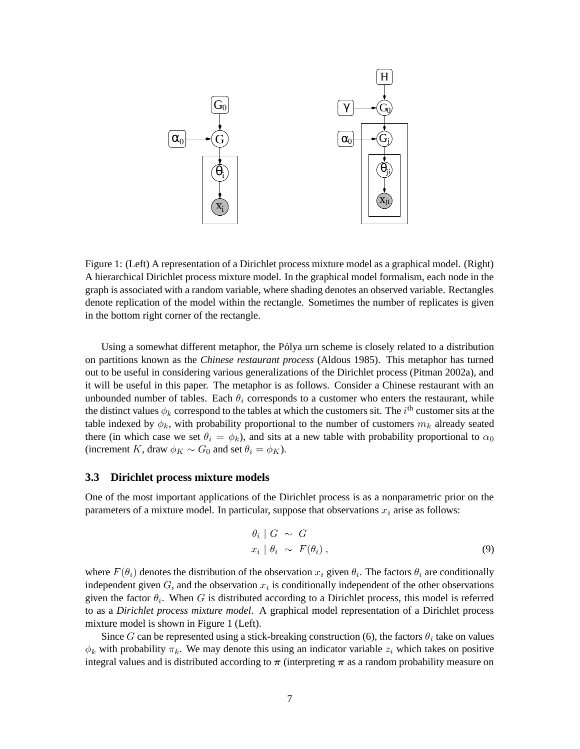

Figure 1: (Left) A representation of a Dirichlet process mixture model as a graphical model. (Right) A hierarchical Dirichlet process mixture model. In the graphical model formalism, each node in the graph is associated with a random variable, where shading denotes an observed variable. Rectangles denote replication of the model within the rectangle. Sometimes the number of replicates is given in the bottom right corner of the rectangle.

Using a somewhat different metaphor, the Pólya urn scheme is closely related to a distribution on partitions known as the *Chinese restaurant process* (Aldous 1985). This metaphor has turned out to be useful in considering various generalizations of the Dirichlet process (Pitman 2002a), and it will be useful in this paper. The metaphor is as follows. Consider a Chinese restaurant with an unbounded number of tables. Each  $\theta_i$  corresponds to a customer who enters the restaurant, while the distinct values  $\phi_k$  correspond to the tables at which the customers sit. The  $i^{\text{th}}$  customer sits at the table indexed by  $\phi_k$ , with probability proportional to the number of customers  $m_k$  already seated there (in which case we set  $\theta_i = \phi_k$ ), and sits at a new table with probability proportional to  $\alpha_0$ (increment K, draw  $\phi_K \sim G_0$  and set  $\theta_i = \phi_K$ ).

#### **3.3 Dirichlet process mixture models**

One of the most important applications of the Dirichlet process is as a nonparametric prior on the parameters of a mixture model. In particular, suppose that observations  $x_i$  arise as follows:

$$
\begin{aligned}\n\theta_i \mid G \sim G \\
x_i \mid \theta_i \sim F(\theta_i),\n\end{aligned} \tag{9}
$$

where  $F(\theta_i)$  denotes the distribution of the observation  $x_i$  given  $\theta_i$ . The factors  $\theta_i$  are conditionally independent given  $G$ , and the observation  $x_i$  is conditionally independent of the other observations given the factor  $\theta_i$ . When G is distributed according to a Dirichlet process, this model is referred to as a *Dirichlet process mixture model*. A graphical model representation of a Dirichlet process mixture model is shown in Figure 1 (Left).

Since G can be represented using a stick-breaking construction (6), the factors  $\theta_i$  take on values  $\phi_k$  with probability  $\pi_k$ . We may denote this using an indicator variable  $z_i$  which takes on positive integral values and is distributed according to  $\pi$  (interpreting  $\pi$  as a random probability measure on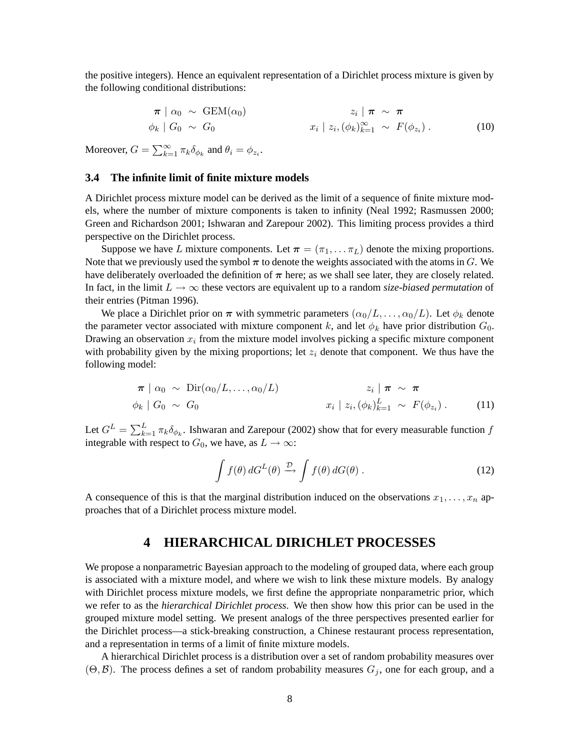the positive integers). Hence an equivalent representation of a Dirichlet process mixture is given by the following conditional distributions:

π | α<sup>0</sup> ∼ GEM(α0) z<sup>i</sup> | π ∼ π φ<sup>k</sup> | G<sup>0</sup> ∼ G<sup>0</sup> x<sup>i</sup> | z<sup>i</sup> ,(φk) ∞ <sup>k</sup>=1 ∼ F(φz<sup>i</sup> ) . (10)

Moreover,  $G = \sum_{k=1}^{\infty} \pi_k \delta_{\phi_k}$  and  $\theta_i = \phi_{z_i}$ .

### **3.4 The infinite limit of finite mixture models**

A Dirichlet process mixture model can be derived as the limit of a sequence of finite mixture models, where the number of mixture components is taken to infinity (Neal 1992; Rasmussen 2000; Green and Richardson 2001; Ishwaran and Zarepour 2002). This limiting process provides a third perspective on the Dirichlet process.

Suppose we have L mixture components. Let  $\pi = (\pi_1, \dots, \pi_L)$  denote the mixing proportions. Note that we previously used the symbol  $\pi$  to denote the weights associated with the atoms in G. We have deliberately overloaded the definition of  $\pi$  here; as we shall see later, they are closely related. In fact, in the limit  $L \to \infty$  these vectors are equivalent up to a random *size-biased permutation* of their entries (Pitman 1996).

We place a Dirichlet prior on  $\pi$  with symmetric parameters  $(\alpha_0/L, \ldots, \alpha_0/L)$ . Let  $\phi_k$  denote the parameter vector associated with mixture component k, and let  $\phi_k$  have prior distribution  $G_0$ . Drawing an observation  $x_i$  from the mixture model involves picking a specific mixture component with probability given by the mixing proportions; let  $z_i$  denote that component. We thus have the following model:

π | α<sup>0</sup> ∼ Dir(α0/L, . . . , α0/L) z<sup>i</sup> | π ∼ π φ<sup>k</sup> | G<sup>0</sup> ∼ G<sup>0</sup> x<sup>i</sup> | z<sup>i</sup> ,(φk) L <sup>k</sup>=1 ∼ F(φz<sup>i</sup> ) . (11)

Let  $G^L = \sum_{k=1}^L \pi_k \delta_{\phi_k}$ . Ishwaran and Zarepour (2002) show that for every measurable function f integrable with respect to  $G_0$ , we have, as  $L \to \infty$ :

$$
\int f(\theta) dG^{L}(\theta) \xrightarrow{\mathcal{D}} \int f(\theta) dG(\theta).
$$
 (12)

A consequence of this is that the marginal distribution induced on the observations  $x_1, \ldots, x_n$  approaches that of a Dirichlet process mixture model.

# **4 HIERARCHICAL DIRICHLET PROCESSES**

We propose a nonparametric Bayesian approach to the modeling of grouped data, where each group is associated with a mixture model, and where we wish to link these mixture models. By analogy with Dirichlet process mixture models, we first define the appropriate nonparametric prior, which we refer to as the *hierarchical Dirichlet process*. We then show how this prior can be used in the grouped mixture model setting. We present analogs of the three perspectives presented earlier for the Dirichlet process—a stick-breaking construction, a Chinese restaurant process representation, and a representation in terms of a limit of finite mixture models.

A hierarchical Dirichlet process is a distribution over a set of random probability measures over  $(\Theta, \mathcal{B})$ . The process defines a set of random probability measures  $G_j$ , one for each group, and a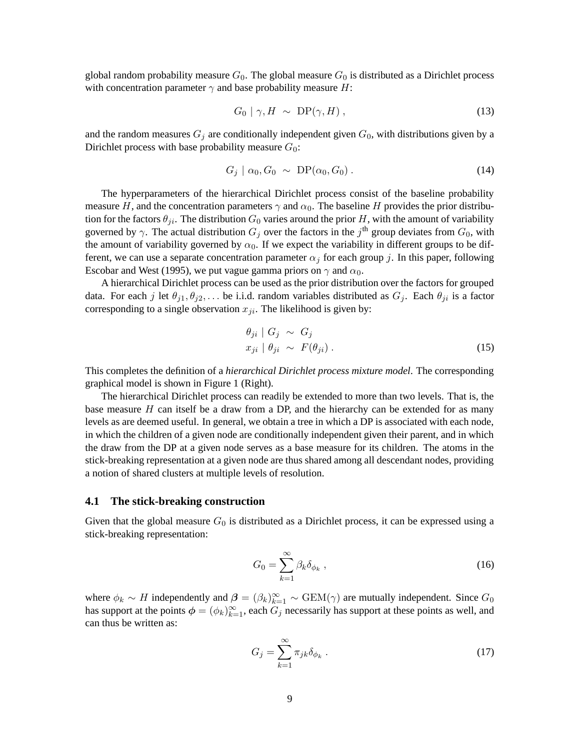global random probability measure  $G_0$ . The global measure  $G_0$  is distributed as a Dirichlet process with concentration parameter  $\gamma$  and base probability measure H:

$$
G_0 | \gamma, H \sim \text{DP}(\gamma, H) \,, \tag{13}
$$

and the random measures  $G_i$  are conditionally independent given  $G_0$ , with distributions given by a Dirichlet process with base probability measure  $G_0$ :

$$
G_j \mid \alpha_0, G_0 \sim \text{DP}(\alpha_0, G_0). \tag{14}
$$

The hyperparameters of the hierarchical Dirichlet process consist of the baseline probability measure H, and the concentration parameters  $\gamma$  and  $\alpha_0$ . The baseline H provides the prior distribution for the factors  $\theta_{ji}$ . The distribution  $G_0$  varies around the prior H, with the amount of variability governed by  $\gamma$ . The actual distribution  $G_j$  over the factors in the j<sup>th</sup> group deviates from  $G_0$ , with the amount of variability governed by  $\alpha_0$ . If we expect the variability in different groups to be different, we can use a separate concentration parameter  $\alpha_j$  for each group j. In this paper, following Escobar and West (1995), we put vague gamma priors on  $\gamma$  and  $\alpha_0$ .

A hierarchical Dirichlet process can be used as the prior distribution over the factors for grouped data. For each j let  $\theta_{j1}, \theta_{j2}, \ldots$  be i.i.d. random variables distributed as  $G_j$ . Each  $\theta_{ji}$  is a factor corresponding to a single observation  $x_{ji}$ . The likelihood is given by:

$$
\begin{aligned}\n\theta_{ji} \mid G_j &\sim G_j \\
x_{ji} \mid \theta_{ji} &\sim F(\theta_{ji})\n\end{aligned} \tag{15}
$$

This completes the definition of a *hierarchical Dirichlet process mixture model*. The corresponding graphical model is shown in Figure 1 (Right).

The hierarchical Dirichlet process can readily be extended to more than two levels. That is, the base measure  $H$  can itself be a draw from a DP, and the hierarchy can be extended for as many levels as are deemed useful. In general, we obtain a tree in which a DP is associated with each node, in which the children of a given node are conditionally independent given their parent, and in which the draw from the DP at a given node serves as a base measure for its children. The atoms in the stick-breaking representation at a given node are thus shared among all descendant nodes, providing a notion of shared clusters at multiple levels of resolution.

#### **4.1 The stick-breaking construction**

Given that the global measure  $G_0$  is distributed as a Dirichlet process, it can be expressed using a stick-breaking representation:

$$
G_0 = \sum_{k=1}^{\infty} \beta_k \delta_{\phi_k} \,, \tag{16}
$$

where  $\phi_k \sim H$  independently and  $\beta = (\beta_k)_{k=1}^{\infty} \sim \text{GEM}(\gamma)$  are mutually independent. Since  $G_0$ has support at the points  $\phi = (\phi_k)_{k=1}^{\infty}$ , each  $G_j$  necessarily has support at these points as well, and can thus be written as:

$$
G_j = \sum_{k=1}^{\infty} \pi_{jk} \delta_{\phi_k} . \tag{17}
$$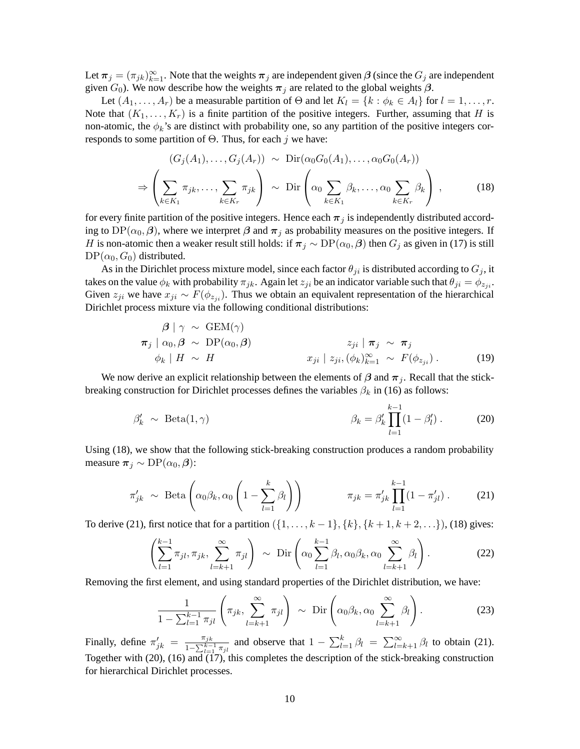Let  $\pi_j = (\pi_{jk})_{k=1}^{\infty}$ . Note that the weights  $\pi_j$  are independent given  $\beta$  (since the  $G_j$  are independent given  $G_0$ ). We now describe how the weights  $\pi_i$  are related to the global weights  $\beta$ .

Let  $(A_1, \ldots, A_r)$  be a measurable partition of  $\Theta$  and let  $K_l = \{k : \phi_k \in A_l\}$  for  $l = 1, \ldots, r$ . Note that  $(K_1, \ldots, K_r)$  is a finite partition of the positive integers. Further, assuming that H is non-atomic, the  $\phi_k$ 's are distinct with probability one, so any partition of the positive integers corresponds to some partition of  $\Theta$ . Thus, for each j we have:

$$
(G_j(A_1),...,G_j(A_r)) \sim \text{Dir}(\alpha_0 G_0(A_1),..., \alpha_0 G_0(A_r))
$$
  
\n
$$
\Rightarrow \left(\sum_{k \in K_1} \pi_{jk},..., \sum_{k \in K_r} \pi_{jk}\right) \sim \text{Dir}\left(\alpha_0 \sum_{k \in K_1} \beta_k, ..., \alpha_0 \sum_{k \in K_r} \beta_k\right),
$$
 (18)

for every finite partition of the positive integers. Hence each  $\pi_j$  is independently distributed according to DP( $\alpha_0$ ,  $\beta$ ), where we interpret  $\beta$  and  $\pi_j$  as probability measures on the positive integers. If H is non-atomic then a weaker result still holds: if  $\pi_j \sim DP(\alpha_0, \beta)$  then  $G_j$  as given in (17) is still  $DP(\alpha_0, G_0)$  distributed.

As in the Dirichlet process mixture model, since each factor  $\theta_{ji}$  is distributed according to  $G_j$ , it takes on the value  $\phi_k$  with probability  $\pi_{jk}$ . Again let  $z_{ji}$  be an indicator variable such that  $\theta_{ji} = \phi_{z_{ji}}$ . Given  $z_{ji}$  we have  $x_{ji} \sim F(\phi_{z_{ji}})$ . Thus we obtain an equivalent representation of the hierarchical Dirichlet process mixture via the following conditional distributions:

$$
\begin{array}{ccc}\n\beta \mid \gamma & \sim & \text{GEM}(\gamma) \\
\pi_j \mid \alpha_0, \beta & \sim & \text{DP}(\alpha_0, \beta) \\
\phi_k \mid H \sim & H\n\end{array}\n\qquad\n\begin{array}{ccc}\nz_{ji} \mid \pi_j & \sim & \pi_j \\
x_{ji} \mid z_{ji}, (\phi_k)_{k=1}^\infty & \sim & F(\phi_{z_{ji}}).\n\end{array}\n\tag{19}
$$

We now derive an explicit relationship between the elements of  $\beta$  and  $\pi_j$ . Recall that the stickbreaking construction for Dirichlet processes defines the variables  $\beta_k$  in (16) as follows:

$$
\beta'_k \sim \text{Beta}(1,\gamma) \qquad \beta_k = \beta'_k \prod_{l=1}^{k-1} (1 - \beta'_l) \,. \tag{20}
$$

Using (18), we show that the following stick-breaking construction produces a random probability measure  $\pi_i \sim DP(\alpha_0, \beta)$ :

$$
\pi'_{jk} \sim \text{Beta}\left(\alpha_0 \beta_k, \alpha_0 \left(1 - \sum_{l=1}^k \beta_l\right)\right) \qquad \qquad \pi_{jk} = \pi'_{jk} \prod_{l=1}^{k-1} (1 - \pi'_{jl}) \,. \tag{21}
$$

To derive (21), first notice that for a partition  $({1, \ldots, k-1}, \{k\}, \{k+1, k+2, \ldots\})$ , (18) gives:

$$
\left(\sum_{l=1}^{k-1} \pi_{jl}, \pi_{jk}, \sum_{l=k+1}^{\infty} \pi_{jl}\right) \sim \mathrm{Dir}\left(\alpha_0 \sum_{l=1}^{k-1} \beta_l, \alpha_0 \beta_k, \alpha_0 \sum_{l=k+1}^{\infty} \beta_l\right). \tag{22}
$$

Removing the first element, and using standard properties of the Dirichlet distribution, we have:

$$
\frac{1}{1 - \sum_{l=1}^{k-1} \pi_{jl}} \left( \pi_{jk}, \sum_{l=k+1}^{\infty} \pi_{jl} \right) \sim \mathrm{Dir} \left( \alpha_0 \beta_k, \alpha_0 \sum_{l=k+1}^{\infty} \beta_l \right). \tag{23}
$$

Finally, define  $\pi'_{jk} = \frac{\pi_{jk}}{1-\sum_{k=1}^{k-1} \pi_{jk}}$  $\frac{\pi_{jk}}{1-\sum_{l=1}^{k-1}\pi_{jl}}$  and observe that  $1-\sum_{l=1}^{k}\beta_{l} = \sum_{l=k+1}^{\infty}\beta_{l}$  to obtain (21). Together with (20), (16) and  $(17)$ , this completes the description of the stick-breaking construction for hierarchical Dirichlet processes.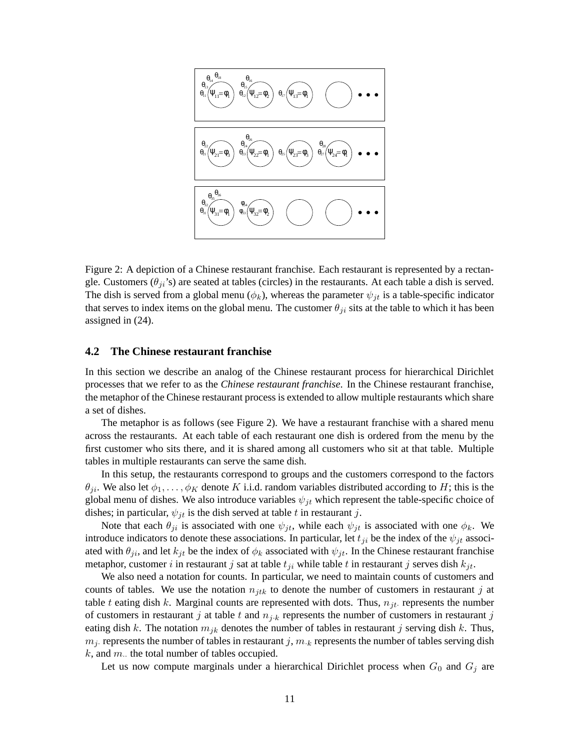

Figure 2: A depiction of a Chinese restaurant franchise. Each restaurant is represented by a rectangle. Customers ( $\theta_{ji}$ 's) are seated at tables (circles) in the restaurants. At each table a dish is served. The dish is served from a global menu ( $\phi_k$ ), whereas the parameter  $\psi_{jt}$  is a table-specific indicator that serves to index items on the global menu. The customer  $\theta_{ji}$  sits at the table to which it has been assigned in (24).

#### **4.2 The Chinese restaurant franchise**

In this section we describe an analog of the Chinese restaurant process for hierarchical Dirichlet processes that we refer to as the *Chinese restaurant franchise*. In the Chinese restaurant franchise, the metaphor of the Chinese restaurant process is extended to allow multiple restaurants which share a set of dishes.

The metaphor is as follows (see Figure 2). We have a restaurant franchise with a shared menu across the restaurants. At each table of each restaurant one dish is ordered from the menu by the first customer who sits there, and it is shared among all customers who sit at that table. Multiple tables in multiple restaurants can serve the same dish.

In this setup, the restaurants correspond to groups and the customers correspond to the factors  $\theta_{ji}$ . We also let  $\phi_1, \ldots, \phi_K$  denote K i.i.d. random variables distributed according to H; this is the global menu of dishes. We also introduce variables  $\psi_{it}$  which represent the table-specific choice of dishes; in particular,  $\psi_{jt}$  is the dish served at table t in restaurant j.

Note that each  $\theta_{ji}$  is associated with one  $\psi_{jt}$ , while each  $\psi_{jt}$  is associated with one  $\phi_k$ . We introduce indicators to denote these associations. In particular, let  $t_{ji}$  be the index of the  $\psi_{jt}$  associated with  $\theta_{ji}$ , and let  $k_{jt}$  be the index of  $\phi_k$  associated with  $\psi_{jt}$ . In the Chinese restaurant franchise metaphor, customer i in restaurant j sat at table  $t_{ji}$  while table t in restaurant j serves dish  $k_{jt}$ .

We also need a notation for counts. In particular, we need to maintain counts of customers and counts of tables. We use the notation  $n_{itk}$  to denote the number of customers in restaurant j at table t eating dish k. Marginal counts are represented with dots. Thus,  $n_{it}$  represents the number of customers in restaurant j at table t and  $n_{j,k}$  represents the number of customers in restaurant j eating dish k. The notation  $m_{ik}$  denotes the number of tables in restaurant j serving dish k. Thus,  $m_j$  represents the number of tables in restaurant j,  $m_k$  represents the number of tables serving dish  $k$ , and  $m$ . the total number of tables occupied.

Let us now compute marginals under a hierarchical Dirichlet process when  $G_0$  and  $G_j$  are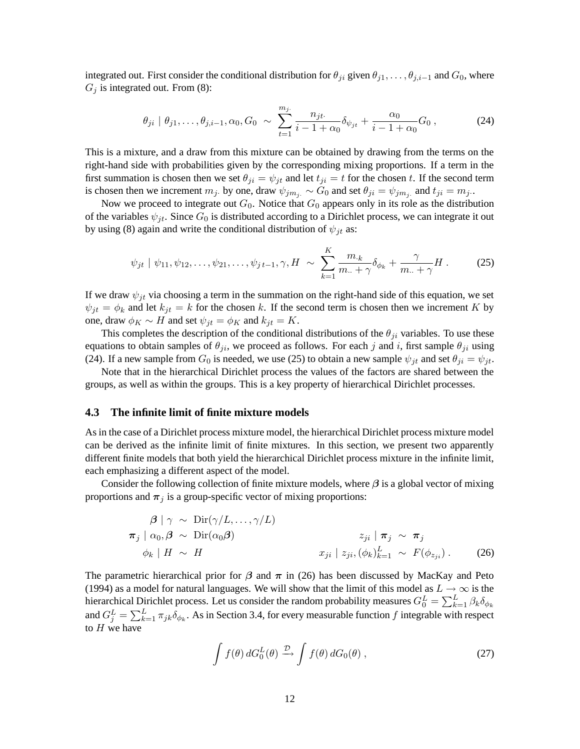integrated out. First consider the conditional distribution for  $\theta_{ji}$  given  $\theta_{j1}, \dots, \theta_{j,i-1}$  and  $G_0$ , where  $G_i$  is integrated out. From (8):

$$
\theta_{ji} \mid \theta_{j1}, \dots, \theta_{j,i-1}, \alpha_0, G_0 \sim \sum_{t=1}^{m_j} \frac{n_{jt}}{i-1+\alpha_0} \delta_{\psi_{jt}} + \frac{\alpha_0}{i-1+\alpha_0} G_0 , \qquad (24)
$$

This is a mixture, and a draw from this mixture can be obtained by drawing from the terms on the right-hand side with probabilities given by the corresponding mixing proportions. If a term in the first summation is chosen then we set  $\theta_{ji} = \psi_{jt}$  and let  $t_{ji} = t$  for the chosen t. If the second term is chosen then we increment  $m_j$ , by one, draw  $\psi_{jm_j}$ .  $\sim G_0$  and set  $\theta_{ji} = \psi_{jm_j}$  and  $t_{ji} = m_j$ .

Now we proceed to integrate out  $G_0$ . Notice that  $G_0$  appears only in its role as the distribution of the variables  $\psi_{jt}$ . Since  $G_0$  is distributed according to a Dirichlet process, we can integrate it out by using (8) again and write the conditional distribution of  $\psi_{jt}$  as:

$$
\psi_{jt} \mid \psi_{11}, \psi_{12}, \dots, \psi_{21}, \dots, \psi_{jt-1}, \gamma, H \sim \sum_{k=1}^{K} \frac{m_{.k}}{m_{..} + \gamma} \delta_{\phi_k} + \frac{\gamma}{m_{..} + \gamma} H \,. \tag{25}
$$

If we draw  $\psi_{jt}$  via choosing a term in the summation on the right-hand side of this equation, we set  $\psi_{jt} = \phi_k$  and let  $k_{jt} = k$  for the chosen k. If the second term is chosen then we increment K by one, draw  $\phi_K \sim H$  and set  $\psi_{jt} = \phi_K$  and  $k_{jt} = K$ .

This completes the description of the conditional distributions of the  $\theta_{ji}$  variables. To use these equations to obtain samples of  $\theta_{ji}$ , we proceed as follows. For each j and i, first sample  $\theta_{ji}$  using (24). If a new sample from  $G_0$  is needed, we use (25) to obtain a new sample  $\psi_{jt}$  and set  $\theta_{ji} = \psi_{jt}$ .

Note that in the hierarchical Dirichlet process the values of the factors are shared between the groups, as well as within the groups. This is a key property of hierarchical Dirichlet processes.

#### **4.3 The infinite limit of finite mixture models**

As in the case of a Dirichlet process mixture model, the hierarchical Dirichlet process mixture model can be derived as the infinite limit of finite mixtures. In this section, we present two apparently different finite models that both yield the hierarchical Dirichlet process mixture in the infinite limit, each emphasizing a different aspect of the model.

Consider the following collection of finite mixture models, where  $\beta$  is a global vector of mixing proportions and  $\pi_j$  is a group-specific vector of mixing proportions:

$$
\begin{array}{ccc}\n\beta \mid \gamma & \sim & \text{Dir}(\gamma/L, \dots, \gamma/L) \\
\pi_j \mid \alpha_0, \beta & \sim & \text{Dir}(\alpha_0 \beta) & z_{ji} \mid \pi_j & \sim & \pi_j \\
\phi_k \mid H \sim & H & x_{ji} \mid z_{ji}, (\phi_k)_{k=1}^L \sim & F(\phi_{z_{ji}}).\n\end{array} \tag{26}
$$

The parametric hierarchical prior for  $\beta$  and  $\pi$  in (26) has been discussed by MacKay and Peto (1994) as a model for natural languages. We will show that the limit of this model as  $L \to \infty$  is the hierarchical Dirichlet process. Let us consider the random probability measures  $G_0^L = \sum_{k=1}^L \beta_k \delta_{\phi_k}$ and  $G_j^L = \sum_{k=1}^L \pi_{jk} \delta_{\phi_k}$ . As in Section 3.4, for every measurable function f integrable with respect to  $H$  we have

$$
\int f(\theta) dG_0^L(\theta) \xrightarrow{\mathcal{D}} \int f(\theta) dG_0(\theta) ,
$$
\n(27)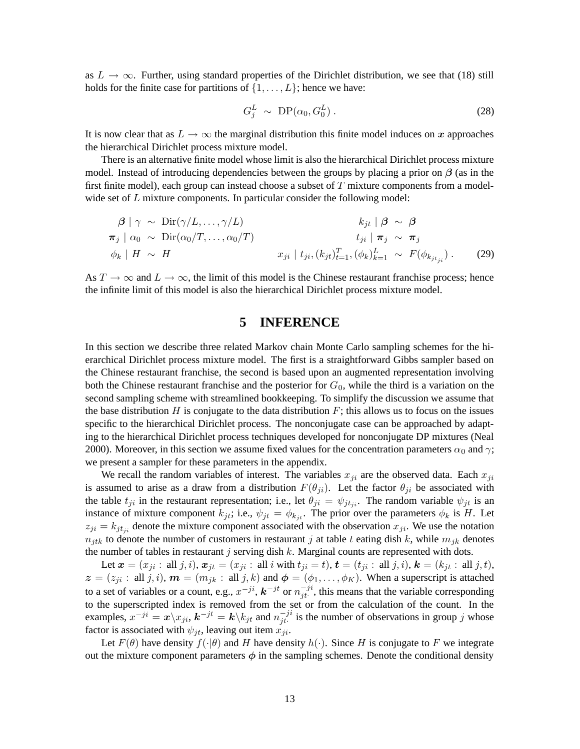as  $L \to \infty$ . Further, using standard properties of the Dirichlet distribution, we see that (18) still holds for the finite case for partitions of  $\{1, \ldots, L\}$ ; hence we have:

$$
G_j^L \sim \text{DP}(\alpha_0, G_0^L) \,. \tag{28}
$$

It is now clear that as  $L \to \infty$  the marginal distribution this finite model induces on x approaches the hierarchical Dirichlet process mixture model.

There is an alternative finite model whose limit is also the hierarchical Dirichlet process mixture model. Instead of introducing dependencies between the groups by placing a prior on  $\beta$  (as in the first finite model), each group can instead choose a subset of  $T$  mixture components from a modelwide set of  $L$  mixture components. In particular consider the following model:

$$
\begin{array}{ccc}\n\beta \mid \gamma & \sim & \text{Dir}(\gamma/L, \dots, \gamma/L) & k_{jt} \mid \beta \sim \beta \\
\pi_j \mid \alpha_0 \sim & \text{Dir}(\alpha_0/T, \dots, \alpha_0/T) & t_{ji} \mid \pi_j \sim \pi_j \\
\phi_k \mid H \sim & H & x_{ji} \mid t_{ji}, (k_{jt})_{t=1}^T, (\phi_k)_{k=1}^L \sim & F(\phi_{k_{jt}}) \,.\n\end{array} \tag{29}
$$

As  $T \to \infty$  and  $L \to \infty$ , the limit of this model is the Chinese restaurant franchise process; hence the infinite limit of this model is also the hierarchical Dirichlet process mixture model.

### **5 INFERENCE**

In this section we describe three related Markov chain Monte Carlo sampling schemes for the hierarchical Dirichlet process mixture model. The first is a straightforward Gibbs sampler based on the Chinese restaurant franchise, the second is based upon an augmented representation involving both the Chinese restaurant franchise and the posterior for  $G_0$ , while the third is a variation on the second sampling scheme with streamlined bookkeeping. To simplify the discussion we assume that the base distribution  $H$  is conjugate to the data distribution  $F$ ; this allows us to focus on the issues specific to the hierarchical Dirichlet process. The nonconjugate case can be approached by adapting to the hierarchical Dirichlet process techniques developed for nonconjugate DP mixtures (Neal 2000). Moreover, in this section we assume fixed values for the concentration parameters  $\alpha_0$  and  $\gamma$ ; we present a sampler for these parameters in the appendix.

We recall the random variables of interest. The variables  $x_{ji}$  are the observed data. Each  $x_{ji}$ is assumed to arise as a draw from a distribution  $F(\theta_{ji})$ . Let the factor  $\theta_{ji}$  be associated with the table  $t_{ji}$  in the restaurant representation; i.e., let  $\theta_{ji} = \psi_{jtji}$ . The random variable  $\psi_{jt}$  is an instance of mixture component  $k_{jt}$ ; i.e.,  $\psi_{jt} = \phi_{k_{jt}}$ . The prior over the parameters  $\phi_k$  is H. Let  $z_{ji} = k_{jtji}$  denote the mixture component associated with the observation  $x_{ji}$ . We use the notation  $n_{jtk}$  to denote the number of customers in restaurant j at table t eating dish k, while  $m_{jk}$  denotes the number of tables in restaurant  $j$  serving dish  $k$ . Marginal counts are represented with dots.

Let  $\bm{x} = (x_{ji} : \text{ all } j, i), \bm{x}_{jt} = (x_{ji} : \text{ all } i \text{ with } t_{ji} = t), \bm{t} = (t_{ji} : \text{ all } j, i), \bm{k} = (k_{jt} : \text{ all } j, t),$  $z = (z_{ji} : \text{ all } j, i), \, \boldsymbol{m} = (m_{jk} : \text{ all } j, k)$  and  $\boldsymbol{\phi} = (\phi_1, \dots, \phi_K)$ . When a superscript is attached to a set of variables or a count, e.g.,  $x^{-ji}$ ,  $\mathbf{k}^{-jt}$  or  $n_{it}^{-ji}$ .  $j_t^{j}$ , this means that the variable corresponding to the superscripted index is removed from the set or from the calculation of the count. In the examples,  $x^{-ji} = \mathbf{x} \setminus x_{ji}$ ,  $\mathbf{k}^{-jt} = \mathbf{k} \setminus k_{jt}$  and  $n_{jt}^{-ji}$ .  $j_t^{j}$  is the number of observations in group j whose factor is associated with  $\psi_{jt}$ , leaving out item  $x_{ji}$ .

Let  $F(\theta)$  have density  $f(\cdot|\theta)$  and H have density  $h(\cdot)$ . Since H is conjugate to F we integrate out the mixture component parameters  $\phi$  in the sampling schemes. Denote the conditional density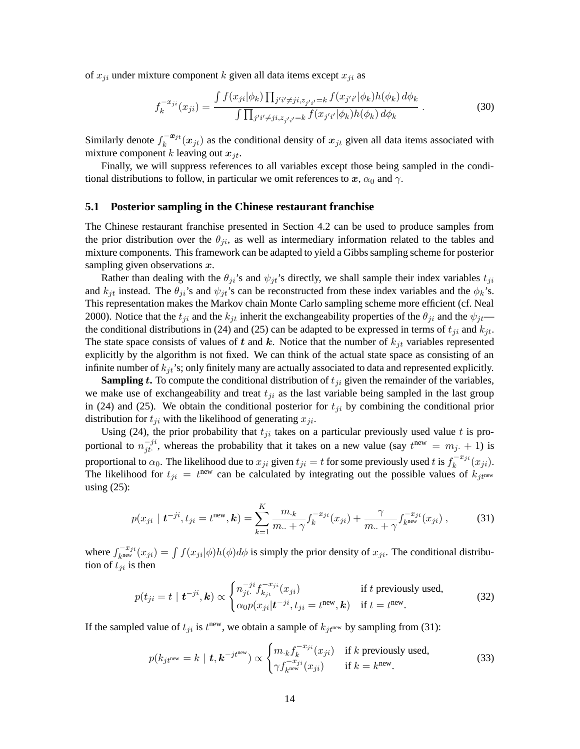of  $x_{ji}$  under mixture component k given all data items except  $x_{ji}$  as

$$
f_k^{-x_{ji}}(x_{ji}) = \frac{\int f(x_{ji}|\phi_k) \prod_{j'i' \neq j i, z_{j'i'} = k} f(x_{j'i'}|\phi_k) h(\phi_k) d\phi_k}{\int \prod_{j'i' \neq j i, z_{j'i'} = k} f(x_{j'i'}|\phi_k) h(\phi_k) d\phi_k}.
$$
 (30)

Similarly denote  $f_k^{-x_{jt}}$  $k_k^{(-x_{jt})}$  as the conditional density of  $x_{jt}$  given all data items associated with mixture component k leaving out  $x_{jt}$ .

Finally, we will suppress references to all variables except those being sampled in the conditional distributions to follow, in particular we omit references to  $x, \alpha_0$  and  $\gamma$ .

#### **5.1 Posterior sampling in the Chinese restaurant franchise**

The Chinese restaurant franchise presented in Section 4.2 can be used to produce samples from the prior distribution over the  $\theta_{ji}$ , as well as intermediary information related to the tables and mixture components. This framework can be adapted to yield a Gibbs sampling scheme for posterior sampling given observations  $x$ .

Rather than dealing with the  $\theta_{ji}$ 's and  $\psi_{it}$ 's directly, we shall sample their index variables  $t_{ji}$ and  $k_{jt}$  instead. The  $\theta_{ji}$ 's and  $\psi_{jt}$ 's can be reconstructed from these index variables and the  $\phi_k$ 's. This representation makes the Markov chain Monte Carlo sampling scheme more efficient (cf. Neal 2000). Notice that the  $t_{ji}$  and the  $k_{jt}$  inherit the exchangeability properties of the  $\theta_{ji}$  and the  $\psi_{jt}$ the conditional distributions in (24) and (25) can be adapted to be expressed in terms of  $t_{ji}$  and  $k_{jt}$ . The state space consists of values of t and k. Notice that the number of  $k_{it}$  variables represented explicitly by the algorithm is not fixed. We can think of the actual state space as consisting of an infinite number of  $k_{it}$ 's; only finitely many are actually associated to data and represented explicitly.

**Sampling t.** To compute the conditional distribution of  $t_{ij}$  given the remainder of the variables, we make use of exchangeability and treat  $t_{ji}$  as the last variable being sampled in the last group in (24) and (25). We obtain the conditional posterior for  $t_{ji}$  by combining the conditional prior distribution for  $t_{ji}$  with the likelihood of generating  $x_{ji}$ .

Using (24), the prior probability that  $t_{ji}$  takes on a particular previously used value t is proportional to  $n_{it}^{-ji}$  $j_t^{-ji}$ , whereas the probability that it takes on a new value (say  $t^{new} = m_j + 1$ ) is proportional to  $\alpha_0$ . The likelihood due to  $x_{ji}$  given  $t_{ji} = t$  for some previously used t is  $f_k^{-x_{ji}}$  $\kappa^{-x_{ji}}(x_{ji}).$ The likelihood for  $t_{ji} = t^{\text{new}}$  can be calculated by integrating out the possible values of  $k_{j}$ using (25):

$$
p(x_{ji} \mid \boldsymbol{t}^{-ji}, t_{ji} = t^{\text{new}}, \boldsymbol{k}) = \sum_{k=1}^{K} \frac{m_k}{m_k + \gamma} f_k^{-x_{ji}}(x_{ji}) + \frac{\gamma}{m_k + \gamma} f_{k^{\text{new}}}^{-x_{ji}}(x_{ji}), \qquad (31)
$$

where  $f_{k^{new}}^{-x_{ji}}$  $\int_{k^{\text{new}}}^{r-x_{ji}} (x_{ji}) = \int f(x_{ji}|\phi)h(\phi)d\phi$  is simply the prior density of  $x_{ji}$ . The conditional distribution of  $t_{ji}$  is then

$$
p(t_{ji} = t \mid \mathbf{t}^{-ji}, \mathbf{k}) \propto \begin{cases} n_{ji}^{-ji} f_{kj}^{-x_{ji}}(x_{ji}) & \text{if } t \text{ previously used,} \\ \alpha_0 p(x_{ji}|\mathbf{t}^{-ji}, t_{ji} = t^{\text{new}}, \mathbf{k}) & \text{if } t = t^{\text{new}}. \end{cases}
$$
(32)

If the sampled value of  $t_{ji}$  is  $t^{new}$ , we obtain a sample of  $k_{jt^{new}}$  by sampling from (31):

$$
p(k_{j t^{new}} = k \mid \mathbf{t}, \mathbf{k}^{-j t^{new}}) \propto \begin{cases} m_{.k} f_k^{-x_{ji}}(x_{ji}) & \text{if } k \text{ previously used,} \\ \gamma f_{k^{new}}^{-x_{ji}}(x_{ji}) & \text{if } k = k^{new}. \end{cases}
$$
(33)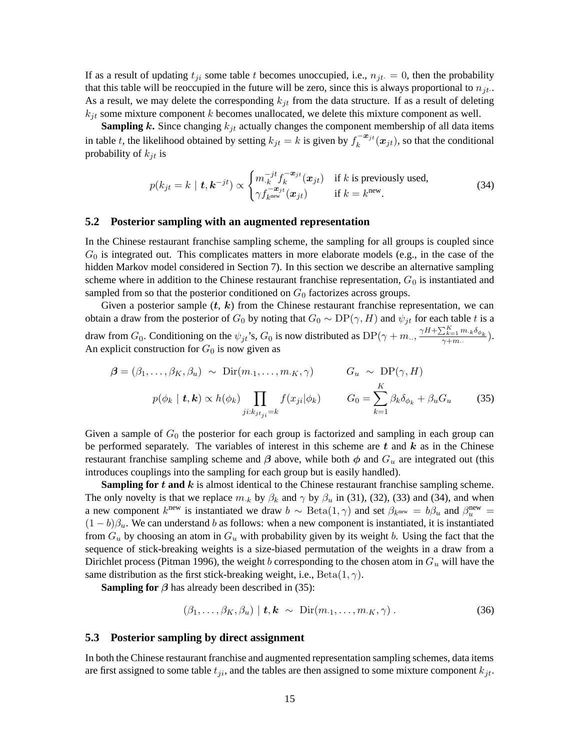If as a result of updating  $t_{ji}$  some table t becomes unoccupied, i.e.,  $n_{it} = 0$ , then the probability that this table will be reoccupied in the future will be zero, since this is always proportional to  $n_{jt}$ . As a result, we may delete the corresponding  $k_{it}$  from the data structure. If as a result of deleting  $k_{jt}$  some mixture component k becomes unallocated, we delete this mixture component as well.

**Sampling k.** Since changing  $k_{jt}$  actually changes the component membership of all data items in table t, the likelihood obtained by setting  $k_{jt} = k$  is given by  $f_k^{-x_{jt}}$  $\int_k^{\cdot-x_{jt}} (x_{jt})$ , so that the conditional probability of  $k_{jt}$  is

$$
p(k_{jt} = k \mid \mathbf{t}, \mathbf{k}^{-jt}) \propto \begin{cases} m_{.k}^{-jt} f_k^{-\mathbf{x}_{jt}}(\mathbf{x}_{jt}) & \text{if } k \text{ is previously used,} \\ \gamma f_{k^{\text{new}}}^{-\mathbf{x}_{jt}}(\mathbf{x}_{jt}) & \text{if } k = k^{\text{new}}. \end{cases}
$$
(34)

### **5.2 Posterior sampling with an augmented representation**

In the Chinese restaurant franchise sampling scheme, the sampling for all groups is coupled since  $G_0$  is integrated out. This complicates matters in more elaborate models (e.g., in the case of the hidden Markov model considered in Section 7). In this section we describe an alternative sampling scheme where in addition to the Chinese restaurant franchise representation,  $G_0$  is instantiated and sampled from so that the posterior conditioned on  $G_0$  factorizes across groups.

Given a posterior sample  $(t, k)$  from the Chinese restaurant franchise representation, we can obtain a draw from the posterior of  $G_0$  by noting that  $G_0 \sim DP(\gamma, H)$  and  $\psi_{jt}$  for each table t is a draw from  $G_0$ . Conditioning on the  $\psi_{jt}$ 's,  $G_0$  is now distributed as  $DP(\gamma + m_{\cdot\cdot}, \frac{\gamma H + \sum_{k=1}^{K} m_{\cdot k} \delta_{\phi_k}}{\gamma + m_{\cdot\cdot}})$ . An explicit construction for  $G_0$  is now given as

$$
\beta = (\beta_1, ..., \beta_K, \beta_u) \sim \text{Dir}(m_{\cdot 1}, ..., m_{\cdot K}, \gamma) \qquad G_u \sim \text{DP}(\gamma, H)
$$

$$
p(\phi_k \mid \mathbf{t}, \mathbf{k}) \propto h(\phi_k) \prod_{j : k_{j} \neq j_i = k} f(x_{ji} | \phi_k) \qquad G_0 = \sum_{k=1}^K \beta_k \delta_{\phi_k} + \beta_u G_u \qquad (35)
$$

Given a sample of  $G_0$  the posterior for each group is factorized and sampling in each group can be performed separately. The variables of interest in this scheme are  $t$  and  $k$  as in the Chinese restaurant franchise sampling scheme and  $\beta$  above, while both  $\phi$  and  $G_u$  are integrated out (this introduces couplings into the sampling for each group but is easily handled).

**Sampling for t and k** is almost identical to the Chinese restaurant franchise sampling scheme. The only novelty is that we replace  $m_k$  by  $\beta_k$  and  $\gamma$  by  $\beta_u$  in (31), (32), (33) and (34), and when a new component  $k^{\text{new}}$  is instantiated we draw  $b \sim \text{Beta}(1, \gamma)$  and set  $\beta_{k^{\text{new}}} = b\beta_u$  and  $\beta_u^{\text{new}} =$  $(1 - b)\beta_u$ . We can understand b as follows: when a new component is instantiated, it is instantiated from  $G_u$  by choosing an atom in  $G_u$  with probability given by its weight b. Using the fact that the sequence of stick-breaking weights is a size-biased permutation of the weights in a draw from a Dirichlet process (Pitman 1996), the weight b corresponding to the chosen atom in  $G_u$  will have the same distribution as the first stick-breaking weight, i.e.,  $Beta(1, \gamma)$ .

**Sampling for**  $\beta$  has already been described in (35):

$$
(\beta_1, \ldots, \beta_K, \beta_u) \mid \mathbf{t}, \mathbf{k} \sim \text{Dir}(m_{\cdot 1}, \ldots, m_{\cdot K}, \gamma) \,. \tag{36}
$$

#### **5.3 Posterior sampling by direct assignment**

In both the Chinese restaurant franchise and augmented representation sampling schemes, data items are first assigned to some table  $t_{ji}$ , and the tables are then assigned to some mixture component  $k_{jt}$ .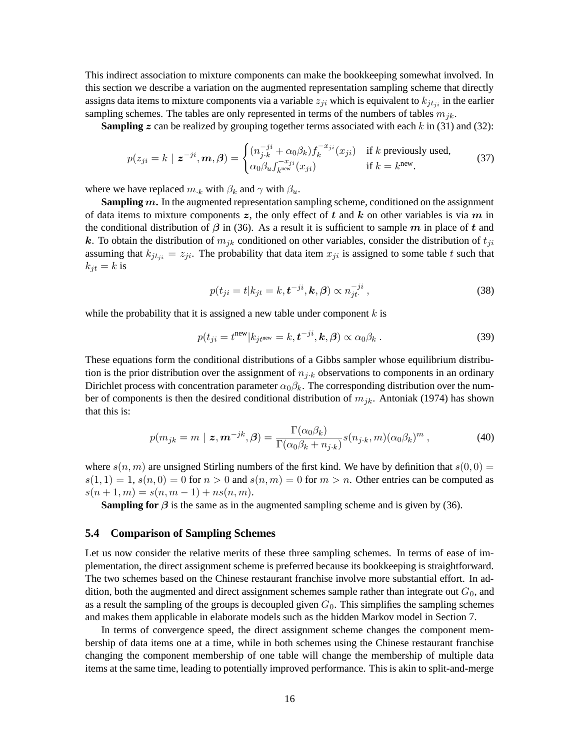This indirect association to mixture components can make the bookkeeping somewhat involved. In this section we describe a variation on the augmented representation sampling scheme that directly assigns data items to mixture components via a variable  $z_{ji}$  which is equivalent to  $k_{jt_{ji}}$  in the earlier sampling schemes. The tables are only represented in terms of the numbers of tables  $m_{jk}$ .

**Sampling**  $z$  can be realized by grouping together terms associated with each  $k$  in (31) and (32):

$$
p(z_{ji} = k \mid \mathbf{z}^{-ji}, \mathbf{m}, \beta) = \begin{cases} (n_{j \cdot k}^{-ji} + \alpha_0 \beta_k) f_k^{-x_{ji}}(x_{ji}) & \text{if } k \text{ previously used,} \\ \alpha_0 \beta_u f_{k^{\text{new}}}^{-x_{ji}}(x_{ji}) & \text{if } k = k^{\text{new}}. \end{cases}
$$
(37)

where we have replaced  $m_{k}$  with  $\beta_{k}$  and  $\gamma$  with  $\beta_{u}$ .

**Sampling** m. In the augmented representation sampling scheme, conditioned on the assignment of data items to mixture components  $z$ , the only effect of  $t$  and  $k$  on other variables is via  $m$  in the conditional distribution of  $\beta$  in (36). As a result it is sufficient to sample m in place of t and k. To obtain the distribution of  $m_{ik}$  conditioned on other variables, consider the distribution of  $t_{ji}$ assuming that  $k_{jt_{ji}} = z_{ji}$ . The probability that data item  $x_{ji}$  is assigned to some table t such that  $k_{it} = k$  is

$$
p(t_{ji} = t | k_{jt} = k, \mathbf{t}^{-ji}, \mathbf{k}, \boldsymbol{\beta}) \propto n_{jt}^{-ji}, \qquad (38)
$$

while the probability that it is assigned a new table under component  $k$  is

$$
p(t_{ji} = t^{\text{new}} | k_{jt^{\text{new}}} = k, \mathbf{t}^{-ji}, \mathbf{k}, \beta) \propto \alpha_0 \beta_k . \tag{39}
$$

These equations form the conditional distributions of a Gibbs sampler whose equilibrium distribution is the prior distribution over the assignment of  $n_{i,k}$  observations to components in an ordinary Dirichlet process with concentration parameter  $\alpha_0\beta_k$ . The corresponding distribution over the number of components is then the desired conditional distribution of  $m_{jk}$ . Antoniak (1974) has shown that this is:

$$
p(m_{jk} = m \mid \mathbf{z}, \mathbf{m}^{-jk}, \boldsymbol{\beta}) = \frac{\Gamma(\alpha_0 \beta_k)}{\Gamma(\alpha_0 \beta_k + n_{j \cdot k})} s(n_{j \cdot k}, m)(\alpha_0 \beta_k)^m , \qquad (40)
$$

where  $s(n, m)$  are unsigned Stirling numbers of the first kind. We have by definition that  $s(0, 0) =$  $s(1, 1) = 1$ ,  $s(n, 0) = 0$  for  $n > 0$  and  $s(n, m) = 0$  for  $m > n$ . Other entries can be computed as  $s(n+1,m) = s(n, m-1) + ns(n, m).$ 

**Sampling for**  $\beta$  is the same as in the augmented sampling scheme and is given by (36).

### **5.4 Comparison of Sampling Schemes**

Let us now consider the relative merits of these three sampling schemes. In terms of ease of implementation, the direct assignment scheme is preferred because its bookkeeping is straightforward. The two schemes based on the Chinese restaurant franchise involve more substantial effort. In addition, both the augmented and direct assignment schemes sample rather than integrate out  $G_0$ , and as a result the sampling of the groups is decoupled given  $G_0$ . This simplifies the sampling schemes and makes them applicable in elaborate models such as the hidden Markov model in Section 7.

In terms of convergence speed, the direct assignment scheme changes the component membership of data items one at a time, while in both schemes using the Chinese restaurant franchise changing the component membership of one table will change the membership of multiple data items at the same time, leading to potentially improved performance. This is akin to split-and-merge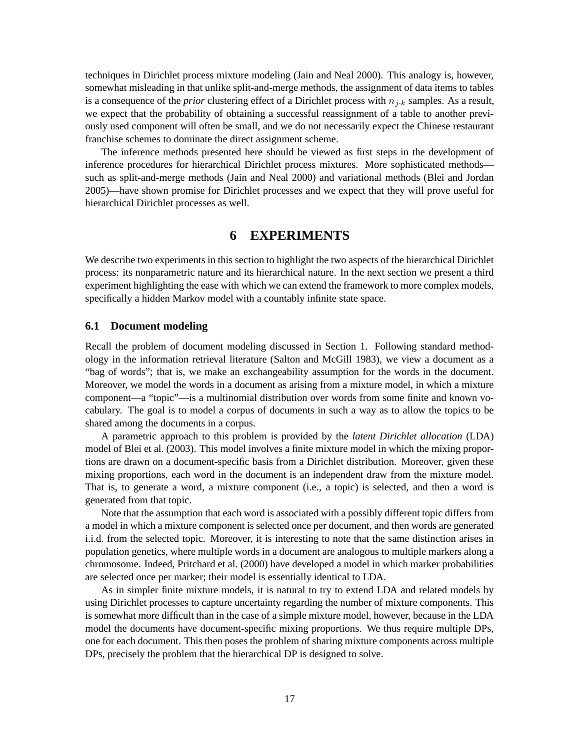techniques in Dirichlet process mixture modeling (Jain and Neal 2000). This analogy is, however, somewhat misleading in that unlike split-and-merge methods, the assignment of data items to tables is a consequence of the *prior* clustering effect of a Dirichlet process with  $n_{j,k}$  samples. As a result, we expect that the probability of obtaining a successful reassignment of a table to another previously used component will often be small, and we do not necessarily expect the Chinese restaurant franchise schemes to dominate the direct assignment scheme.

The inference methods presented here should be viewed as first steps in the development of inference procedures for hierarchical Dirichlet process mixtures. More sophisticated methods such as split-and-merge methods (Jain and Neal 2000) and variational methods (Blei and Jordan 2005)—have shown promise for Dirichlet processes and we expect that they will prove useful for hierarchical Dirichlet processes as well.

# **6 EXPERIMENTS**

We describe two experiments in this section to highlight the two aspects of the hierarchical Dirichlet process: its nonparametric nature and its hierarchical nature. In the next section we present a third experiment highlighting the ease with which we can extend the framework to more complex models, specifically a hidden Markov model with a countably infinite state space.

### **6.1 Document modeling**

Recall the problem of document modeling discussed in Section 1. Following standard methodology in the information retrieval literature (Salton and McGill 1983), we view a document as a "bag of words"; that is, we make an exchangeability assumption for the words in the document. Moreover, we model the words in a document as arising from a mixture model, in which a mixture component—a "topic"—is a multinomial distribution over words from some finite and known vocabulary. The goal is to model a corpus of documents in such a way as to allow the topics to be shared among the documents in a corpus.

A parametric approach to this problem is provided by the *latent Dirichlet allocation* (LDA) model of Blei et al. (2003). This model involves a finite mixture model in which the mixing proportions are drawn on a document-specific basis from a Dirichlet distribution. Moreover, given these mixing proportions, each word in the document is an independent draw from the mixture model. That is, to generate a word, a mixture component (i.e., a topic) is selected, and then a word is generated from that topic.

Note that the assumption that each word is associated with a possibly different topic differs from a model in which a mixture component is selected once per document, and then words are generated i.i.d. from the selected topic. Moreover, it is interesting to note that the same distinction arises in population genetics, where multiple words in a document are analogous to multiple markers along a chromosome. Indeed, Pritchard et al. (2000) have developed a model in which marker probabilities are selected once per marker; their model is essentially identical to LDA.

As in simpler finite mixture models, it is natural to try to extend LDA and related models by using Dirichlet processes to capture uncertainty regarding the number of mixture components. This is somewhat more difficult than in the case of a simple mixture model, however, because in the LDA model the documents have document-specific mixing proportions. We thus require multiple DPs, one for each document. This then poses the problem of sharing mixture components across multiple DPs, precisely the problem that the hierarchical DP is designed to solve.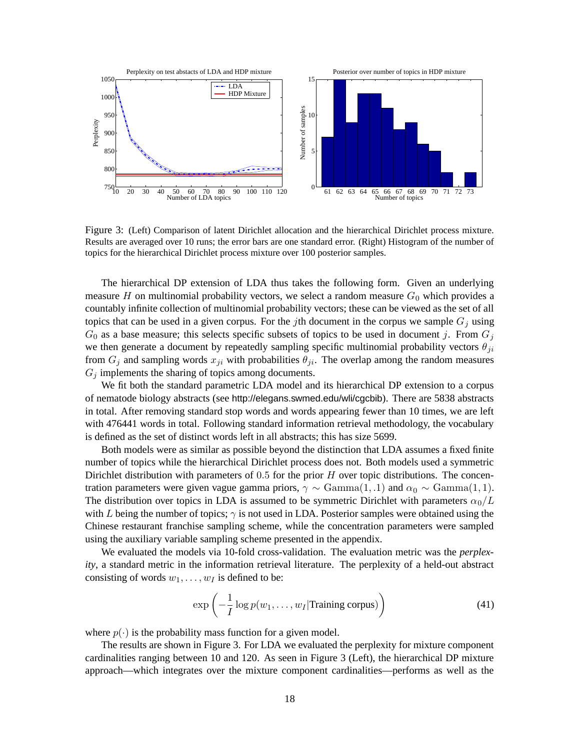

Figure 3: (Left) Comparison of latent Dirichlet allocation and the hierarchical Dirichlet process mixture. Results are averaged over 10 runs; the error bars are one standard error. (Right) Histogram of the number of topics for the hierarchical Dirichlet process mixture over 100 posterior samples.

The hierarchical DP extension of LDA thus takes the following form. Given an underlying measure H on multinomial probability vectors, we select a random measure  $G_0$  which provides a countably infinite collection of multinomial probability vectors; these can be viewed as the set of all topics that can be used in a given corpus. For the jth document in the corpus we sample  $G_i$  using  $G_0$  as a base measure; this selects specific subsets of topics to be used in document j. From  $G_j$ we then generate a document by repeatedly sampling specific multinomial probability vectors  $\theta_{ji}$ from  $G_j$  and sampling words  $x_{ji}$  with probabilities  $\theta_{ji}$ . The overlap among the random measures  $G_i$  implements the sharing of topics among documents.

We fit both the standard parametric LDA model and its hierarchical DP extension to a corpus of nematode biology abstracts (see http://elegans.swmed.edu/wli/cgcbib). There are 5838 abstracts in total. After removing standard stop words and words appearing fewer than 10 times, we are left with 476441 words in total. Following standard information retrieval methodology, the vocabulary is defined as the set of distinct words left in all abstracts; this has size 5699.

Both models were as similar as possible beyond the distinction that LDA assumes a fixed finite number of topics while the hierarchical Dirichlet process does not. Both models used a symmetric Dirichlet distribution with parameters of  $0.5$  for the prior  $H$  over topic distributions. The concentration parameters were given vague gamma priors,  $\gamma \sim \text{Gamma}(1, 1)$  and  $\alpha_0 \sim \text{Gamma}(1, 1)$ . The distribution over topics in LDA is assumed to be symmetric Dirichlet with parameters  $\alpha_0/L$ with L being the number of topics;  $\gamma$  is not used in LDA. Posterior samples were obtained using the Chinese restaurant franchise sampling scheme, while the concentration parameters were sampled using the auxiliary variable sampling scheme presented in the appendix.

We evaluated the models via 10-fold cross-validation. The evaluation metric was the *perplexity*, a standard metric in the information retrieval literature. The perplexity of a held-out abstract consisting of words  $w_1, \ldots, w_J$  is defined to be:

$$
\exp\left(-\frac{1}{I}\log p(w_1,\ldots,w_I|\text{Training corpus})\right) \tag{41}
$$

where  $p(\cdot)$  is the probability mass function for a given model.

The results are shown in Figure 3. For LDA we evaluated the perplexity for mixture component cardinalities ranging between 10 and 120. As seen in Figure 3 (Left), the hierarchical DP mixture approach—which integrates over the mixture component cardinalities—performs as well as the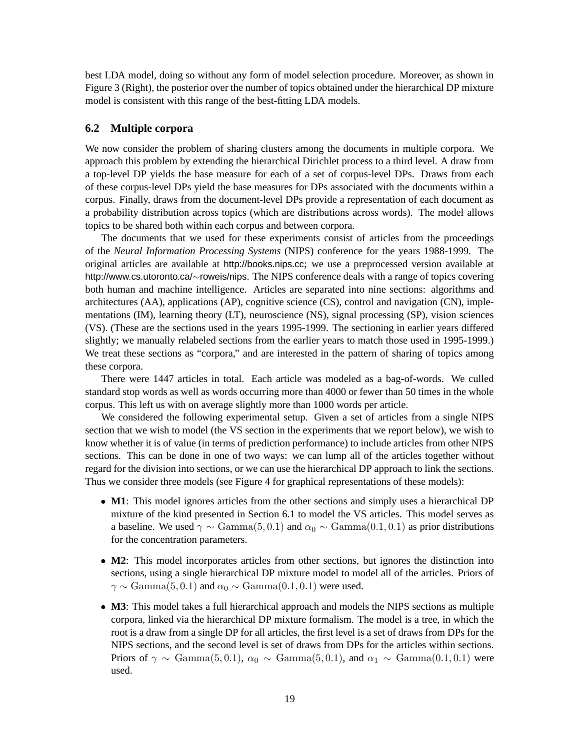best LDA model, doing so without any form of model selection procedure. Moreover, as shown in Figure 3 (Right), the posterior over the number of topics obtained under the hierarchical DP mixture model is consistent with this range of the best-fitting LDA models.

### **6.2 Multiple corpora**

We now consider the problem of sharing clusters among the documents in multiple corpora. We approach this problem by extending the hierarchical Dirichlet process to a third level. A draw from a top-level DP yields the base measure for each of a set of corpus-level DPs. Draws from each of these corpus-level DPs yield the base measures for DPs associated with the documents within a corpus. Finally, draws from the document-level DPs provide a representation of each document as a probability distribution across topics (which are distributions across words). The model allows topics to be shared both within each corpus and between corpora.

The documents that we used for these experiments consist of articles from the proceedings of the *Neural Information Processing Systems* (NIPS) conference for the years 1988-1999. The original articles are available at http://books.nips.cc; we use a preprocessed version available at http://www.cs.utoronto.ca/∼roweis/nips. The NIPS conference deals with a range of topics covering both human and machine intelligence. Articles are separated into nine sections: algorithms and architectures (AA), applications (AP), cognitive science (CS), control and navigation (CN), implementations (IM), learning theory (LT), neuroscience (NS), signal processing (SP), vision sciences (VS). (These are the sections used in the years 1995-1999. The sectioning in earlier years differed slightly; we manually relabeled sections from the earlier years to match those used in 1995-1999.) We treat these sections as "corpora," and are interested in the pattern of sharing of topics among these corpora.

There were 1447 articles in total. Each article was modeled as a bag-of-words. We culled standard stop words as well as words occurring more than 4000 or fewer than 50 times in the whole corpus. This left us with on average slightly more than 1000 words per article.

We considered the following experimental setup. Given a set of articles from a single NIPS section that we wish to model (the VS section in the experiments that we report below), we wish to know whether it is of value (in terms of prediction performance) to include articles from other NIPS sections. This can be done in one of two ways: we can lump all of the articles together without regard for the division into sections, or we can use the hierarchical DP approach to link the sections. Thus we consider three models (see Figure 4 for graphical representations of these models):

- **M1**: This model ignores articles from the other sections and simply uses a hierarchical DP mixture of the kind presented in Section 6.1 to model the VS articles. This model serves as a baseline. We used  $\gamma \sim \text{Gamma}(5, 0.1)$  and  $\alpha_0 \sim \text{Gamma}(0.1, 0.1)$  as prior distributions for the concentration parameters.
- **M2**: This model incorporates articles from other sections, but ignores the distinction into sections, using a single hierarchical DP mixture model to model all of the articles. Priors of  $\gamma \sim \text{Gamma}(5, 0.1)$  and  $\alpha_0 \sim \text{Gamma}(0.1, 0.1)$  were used.
- **M3**: This model takes a full hierarchical approach and models the NIPS sections as multiple corpora, linked via the hierarchical DP mixture formalism. The model is a tree, in which the root is a draw from a single DP for all articles, the first level is a set of draws from DPs for the NIPS sections, and the second level is set of draws from DPs for the articles within sections. Priors of  $\gamma \sim \text{Gamma}(5, 0.1)$ ,  $\alpha_0 \sim \text{Gamma}(5, 0.1)$ , and  $\alpha_1 \sim \text{Gamma}(0.1, 0.1)$  were used.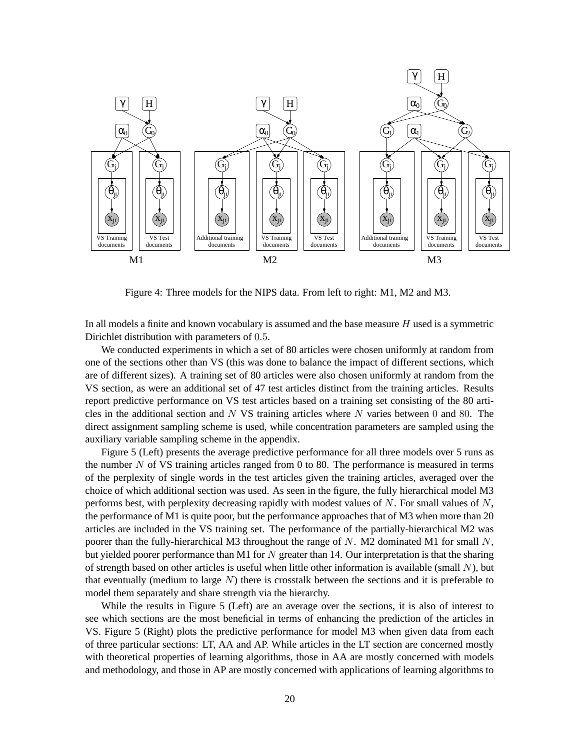

Figure 4: Three models for the NIPS data. From left to right: M1, M2 and M3.

In all models a finite and known vocabulary is assumed and the base measure H used is a symmetric Dirichlet distribution with parameters of 0.5.

We conducted experiments in which a set of 80 articles were chosen uniformly at random from one of the sections other than VS (this was done to balance the impact of different sections, which are of different sizes). A training set of 80 articles were also chosen uniformly at random from the VS section, as were an additional set of 47 test articles distinct from the training articles. Results report predictive performance on VS test articles based on a training set consisting of the 80 articles in the additional section and  $N$  VS training articles where  $N$  varies between 0 and 80. The direct assignment sampling scheme is used, while concentration parameters are sampled using the auxiliary variable sampling scheme in the appendix.

Figure 5 (Left) presents the average predictive performance for all three models over 5 runs as the number  $N$  of VS training articles ranged from 0 to 80. The performance is measured in terms of the perplexity of single words in the test articles given the training articles, averaged over the choice of which additional section was used. As seen in the figure, the fully hierarchical model M3 performs best, with perplexity decreasing rapidly with modest values of  $N$ . For small values of  $N$ , the performance of M1 is quite poor, but the performance approaches that of M3 when more than 20 articles are included in the VS training set. The performance of the partially-hierarchical M2 was poorer than the fully-hierarchical M3 throughout the range of  $N$ . M2 dominated M1 for small  $N$ , but yielded poorer performance than M1 for  $N$  greater than 14. Our interpretation is that the sharing of strength based on other articles is useful when little other information is available (small  $N$ ), but that eventually (medium to large  $N$ ) there is crosstalk between the sections and it is preferable to model them separately and share strength via the hierarchy.

While the results in Figure 5 (Left) are an average over the sections, it is also of interest to see which sections are the most beneficial in terms of enhancing the prediction of the articles in VS. Figure 5 (Right) plots the predictive performance for model M3 when given data from each of three particular sections: LT, AA and AP. While articles in the LT section are concerned mostly with theoretical properties of learning algorithms, those in AA are mostly concerned with models and methodology, and those in AP are mostly concerned with applications of learning algorithms to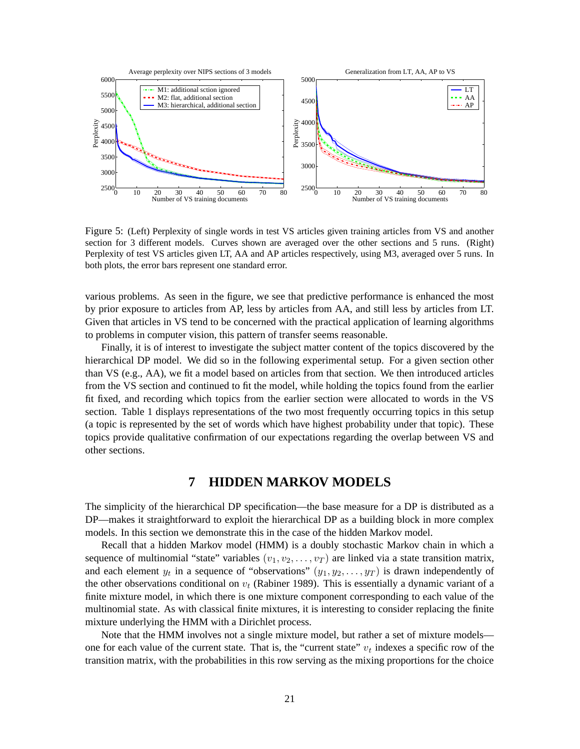

Figure 5: (Left) Perplexity of single words in test VS articles given training articles from VS and another section for 3 different models. Curves shown are averaged over the other sections and 5 runs. (Right) Perplexity of test VS articles given LT, AA and AP articles respectively, using M3, averaged over 5 runs. In both plots, the error bars represent one standard error.

various problems. As seen in the figure, we see that predictive performance is enhanced the most by prior exposure to articles from AP, less by articles from AA, and still less by articles from LT. Given that articles in VS tend to be concerned with the practical application of learning algorithms to problems in computer vision, this pattern of transfer seems reasonable.

Finally, it is of interest to investigate the subject matter content of the topics discovered by the hierarchical DP model. We did so in the following experimental setup. For a given section other than VS (e.g., AA), we fit a model based on articles from that section. We then introduced articles from the VS section and continued to fit the model, while holding the topics found from the earlier fit fixed, and recording which topics from the earlier section were allocated to words in the VS section. Table 1 displays representations of the two most frequently occurring topics in this setup (a topic is represented by the set of words which have highest probability under that topic). These topics provide qualitative confirmation of our expectations regarding the overlap between VS and other sections.

# **7 HIDDEN MARKOV MODELS**

The simplicity of the hierarchical DP specification—the base measure for a DP is distributed as a DP—makes it straightforward to exploit the hierarchical DP as a building block in more complex models. In this section we demonstrate this in the case of the hidden Markov model.

Recall that a hidden Markov model (HMM) is a doubly stochastic Markov chain in which a sequence of multinomial "state" variables  $(v_1, v_2, \ldots, v_T)$  are linked via a state transition matrix, and each element  $y_t$  in a sequence of "observations"  $(y_1, y_2, \ldots, y_T)$  is drawn independently of the other observations conditional on  $v_t$  (Rabiner 1989). This is essentially a dynamic variant of a finite mixture model, in which there is one mixture component corresponding to each value of the multinomial state. As with classical finite mixtures, it is interesting to consider replacing the finite mixture underlying the HMM with a Dirichlet process.

Note that the HMM involves not a single mixture model, but rather a set of mixture models one for each value of the current state. That is, the "current state"  $v_t$  indexes a specific row of the transition matrix, with the probabilities in this row serving as the mixing proportions for the choice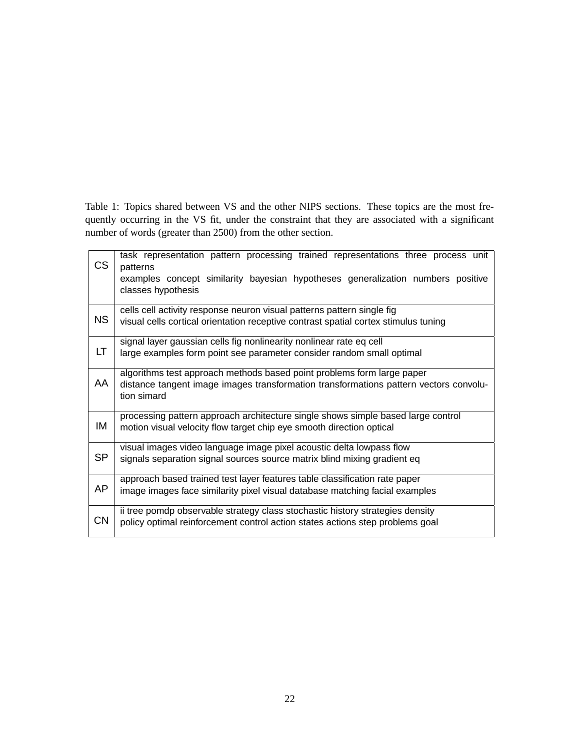Table 1: Topics shared between VS and the other NIPS sections. These topics are the most frequently occurring in the VS fit, under the constraint that they are associated with a significant number of words (greater than 2500) from the other section.

| <b>CS</b> | task representation pattern processing trained representations three process unit<br>patterns<br>examples concept similarity bayesian hypotheses generalization numbers positive<br>classes hypothesis |
|-----------|--------------------------------------------------------------------------------------------------------------------------------------------------------------------------------------------------------|
| NS.       | cells cell activity response neuron visual patterns pattern single fig<br>visual cells cortical orientation receptive contrast spatial cortex stimulus tuning                                          |
| LT        | signal layer gaussian cells fig nonlinearity nonlinear rate eq cell<br>large examples form point see parameter consider random small optimal                                                           |
| AA        | algorithms test approach methods based point problems form large paper<br>distance tangent image images transformation transformations pattern vectors convolu-<br>tion simard                         |
| IM        | processing pattern approach architecture single shows simple based large control<br>motion visual velocity flow target chip eye smooth direction optical                                               |
| <b>SP</b> | visual images video language image pixel acoustic delta lowpass flow<br>signals separation signal sources source matrix blind mixing gradient eq                                                       |
| AP        | approach based trained test layer features table classification rate paper<br>image images face similarity pixel visual database matching facial examples                                              |
| CN        | ii tree pomdp observable strategy class stochastic history strategies density<br>policy optimal reinforcement control action states actions step problems goal                                         |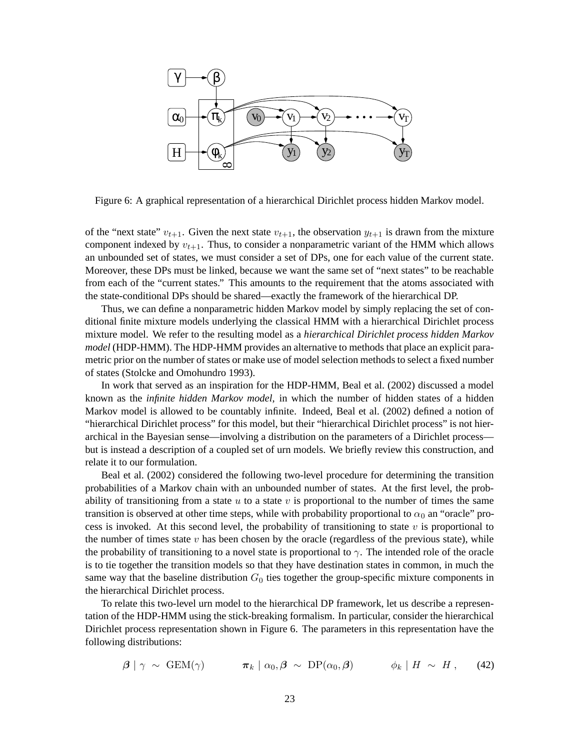

Figure 6: A graphical representation of a hierarchical Dirichlet process hidden Markov model.

of the "next state"  $v_{t+1}$ . Given the next state  $v_{t+1}$ , the observation  $y_{t+1}$  is drawn from the mixture component indexed by  $v_{t+1}$ . Thus, to consider a nonparametric variant of the HMM which allows an unbounded set of states, we must consider a set of DPs, one for each value of the current state. Moreover, these DPs must be linked, because we want the same set of "next states" to be reachable from each of the "current states." This amounts to the requirement that the atoms associated with the state-conditional DPs should be shared—exactly the framework of the hierarchical DP.

Thus, we can define a nonparametric hidden Markov model by simply replacing the set of conditional finite mixture models underlying the classical HMM with a hierarchical Dirichlet process mixture model. We refer to the resulting model as a *hierarchical Dirichlet process hidden Markov model* (HDP-HMM). The HDP-HMM provides an alternative to methods that place an explicit parametric prior on the number of states or make use of model selection methods to select a fixed number of states (Stolcke and Omohundro 1993).

In work that served as an inspiration for the HDP-HMM, Beal et al. (2002) discussed a model known as the *infinite hidden Markov model*, in which the number of hidden states of a hidden Markov model is allowed to be countably infinite. Indeed, Beal et al. (2002) defined a notion of "hierarchical Dirichlet process" for this model, but their "hierarchical Dirichlet process" is not hierarchical in the Bayesian sense—involving a distribution on the parameters of a Dirichlet process but is instead a description of a coupled set of urn models. We briefly review this construction, and relate it to our formulation.

Beal et al. (2002) considered the following two-level procedure for determining the transition probabilities of a Markov chain with an unbounded number of states. At the first level, the probability of transitioning from a state  $u$  to a state  $v$  is proportional to the number of times the same transition is observed at other time steps, while with probability proportional to  $\alpha_0$  an "oracle" process is invoked. At this second level, the probability of transitioning to state  $v$  is proportional to the number of times state  $v$  has been chosen by the oracle (regardless of the previous state), while the probability of transitioning to a novel state is proportional to  $\gamma$ . The intended role of the oracle is to tie together the transition models so that they have destination states in common, in much the same way that the baseline distribution  $G_0$  ties together the group-specific mixture components in the hierarchical Dirichlet process.

To relate this two-level urn model to the hierarchical DP framework, let us describe a representation of the HDP-HMM using the stick-breaking formalism. In particular, consider the hierarchical Dirichlet process representation shown in Figure 6. The parameters in this representation have the following distributions:

$$
\beta \mid \gamma \sim \text{GEM}(\gamma) \qquad \pi_k \mid \alpha_0, \beta \sim \text{DP}(\alpha_0, \beta) \qquad \phi_k \mid H \sim H, \qquad (42)
$$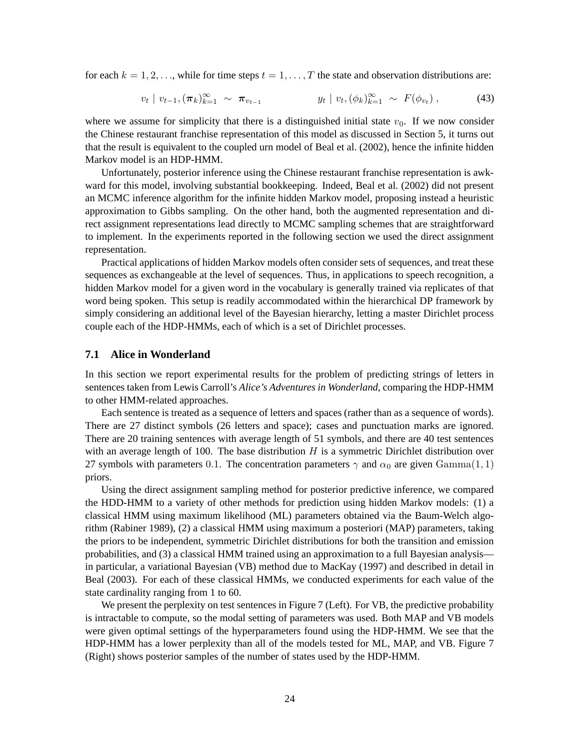for each  $k = 1, 2, \ldots$ , while for time steps  $t = 1, \ldots, T$  the state and observation distributions are:

$$
v_t | v_{t-1}, (\pi_k)_{k=1}^{\infty} \sim \pi_{v_{t-1}} \qquad \qquad y_t | v_t, (\phi_k)_{k=1}^{\infty} \sim F(\phi_{v_t}), \qquad \qquad (43)
$$

where we assume for simplicity that there is a distinguished initial state  $v_0$ . If we now consider the Chinese restaurant franchise representation of this model as discussed in Section 5, it turns out that the result is equivalent to the coupled urn model of Beal et al. (2002), hence the infinite hidden Markov model is an HDP-HMM.

Unfortunately, posterior inference using the Chinese restaurant franchise representation is awkward for this model, involving substantial bookkeeping. Indeed, Beal et al. (2002) did not present an MCMC inference algorithm for the infinite hidden Markov model, proposing instead a heuristic approximation to Gibbs sampling. On the other hand, both the augmented representation and direct assignment representations lead directly to MCMC sampling schemes that are straightforward to implement. In the experiments reported in the following section we used the direct assignment representation.

Practical applications of hidden Markov models often consider sets of sequences, and treat these sequences as exchangeable at the level of sequences. Thus, in applications to speech recognition, a hidden Markov model for a given word in the vocabulary is generally trained via replicates of that word being spoken. This setup is readily accommodated within the hierarchical DP framework by simply considering an additional level of the Bayesian hierarchy, letting a master Dirichlet process couple each of the HDP-HMMs, each of which is a set of Dirichlet processes.

### **7.1 Alice in Wonderland**

In this section we report experimental results for the problem of predicting strings of letters in sentences taken from Lewis Carroll's *Alice's Adventures in Wonderland*, comparing the HDP-HMM to other HMM-related approaches.

Each sentence is treated as a sequence of letters and spaces (rather than as a sequence of words). There are 27 distinct symbols (26 letters and space); cases and punctuation marks are ignored. There are 20 training sentences with average length of 51 symbols, and there are 40 test sentences with an average length of 100. The base distribution  $H$  is a symmetric Dirichlet distribution over 27 symbols with parameters 0.1. The concentration parameters  $\gamma$  and  $\alpha_0$  are given Gamma(1, 1) priors.

Using the direct assignment sampling method for posterior predictive inference, we compared the HDD-HMM to a variety of other methods for prediction using hidden Markov models: (1) a classical HMM using maximum likelihood (ML) parameters obtained via the Baum-Welch algorithm (Rabiner 1989), (2) a classical HMM using maximum a posteriori (MAP) parameters, taking the priors to be independent, symmetric Dirichlet distributions for both the transition and emission probabilities, and (3) a classical HMM trained using an approximation to a full Bayesian analysis in particular, a variational Bayesian (VB) method due to MacKay (1997) and described in detail in Beal (2003). For each of these classical HMMs, we conducted experiments for each value of the state cardinality ranging from 1 to 60.

We present the perplexity on test sentences in Figure 7 (Left). For VB, the predictive probability is intractable to compute, so the modal setting of parameters was used. Both MAP and VB models were given optimal settings of the hyperparameters found using the HDP-HMM. We see that the HDP-HMM has a lower perplexity than all of the models tested for ML, MAP, and VB. Figure 7 (Right) shows posterior samples of the number of states used by the HDP-HMM.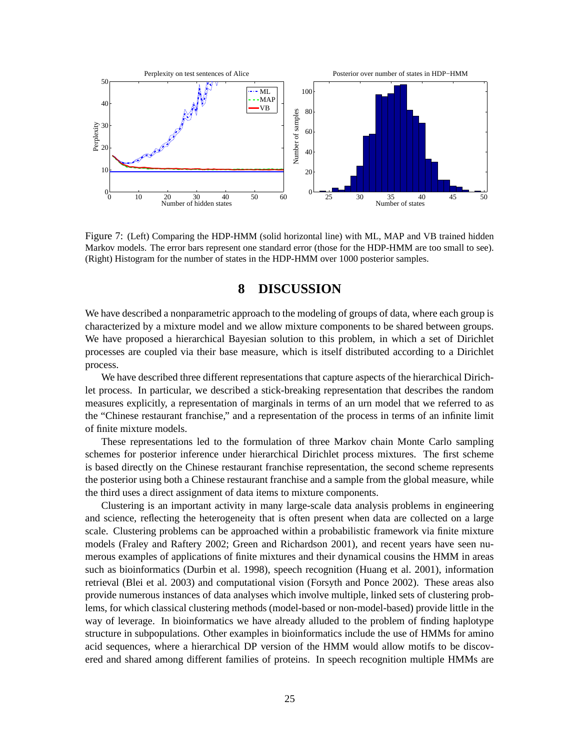

Figure 7: (Left) Comparing the HDP-HMM (solid horizontal line) with ML, MAP and VB trained hidden Markov models. The error bars represent one standard error (those for the HDP-HMM are too small to see). (Right) Histogram for the number of states in the HDP-HMM over 1000 posterior samples.

# **8 DISCUSSION**

We have described a nonparametric approach to the modeling of groups of data, where each group is characterized by a mixture model and we allow mixture components to be shared between groups. We have proposed a hierarchical Bayesian solution to this problem, in which a set of Dirichlet processes are coupled via their base measure, which is itself distributed according to a Dirichlet process.

We have described three different representations that capture aspects of the hierarchical Dirichlet process. In particular, we described a stick-breaking representation that describes the random measures explicitly, a representation of marginals in terms of an urn model that we referred to as the "Chinese restaurant franchise," and a representation of the process in terms of an infinite limit of finite mixture models.

These representations led to the formulation of three Markov chain Monte Carlo sampling schemes for posterior inference under hierarchical Dirichlet process mixtures. The first scheme is based directly on the Chinese restaurant franchise representation, the second scheme represents the posterior using both a Chinese restaurant franchise and a sample from the global measure, while the third uses a direct assignment of data items to mixture components.

Clustering is an important activity in many large-scale data analysis problems in engineering and science, reflecting the heterogeneity that is often present when data are collected on a large scale. Clustering problems can be approached within a probabilistic framework via finite mixture models (Fraley and Raftery 2002; Green and Richardson 2001), and recent years have seen numerous examples of applications of finite mixtures and their dynamical cousins the HMM in areas such as bioinformatics (Durbin et al. 1998), speech recognition (Huang et al. 2001), information retrieval (Blei et al. 2003) and computational vision (Forsyth and Ponce 2002). These areas also provide numerous instances of data analyses which involve multiple, linked sets of clustering problems, for which classical clustering methods (model-based or non-model-based) provide little in the way of leverage. In bioinformatics we have already alluded to the problem of finding haplotype structure in subpopulations. Other examples in bioinformatics include the use of HMMs for amino acid sequences, where a hierarchical DP version of the HMM would allow motifs to be discovered and shared among different families of proteins. In speech recognition multiple HMMs are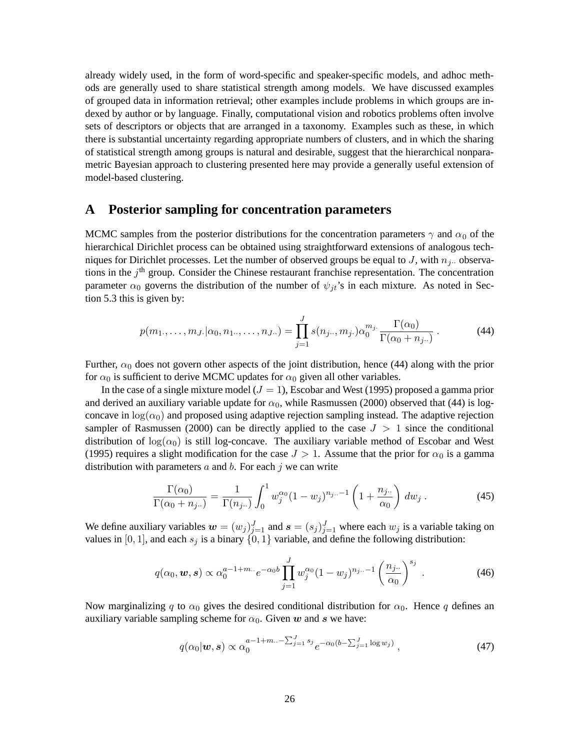already widely used, in the form of word-specific and speaker-specific models, and adhoc methods are generally used to share statistical strength among models. We have discussed examples of grouped data in information retrieval; other examples include problems in which groups are indexed by author or by language. Finally, computational vision and robotics problems often involve sets of descriptors or objects that are arranged in a taxonomy. Examples such as these, in which there is substantial uncertainty regarding appropriate numbers of clusters, and in which the sharing of statistical strength among groups is natural and desirable, suggest that the hierarchical nonparametric Bayesian approach to clustering presented here may provide a generally useful extension of model-based clustering.

# **A Posterior sampling for concentration parameters**

MCMC samples from the posterior distributions for the concentration parameters  $\gamma$  and  $\alpha_0$  of the hierarchical Dirichlet process can be obtained using straightforward extensions of analogous techniques for Dirichlet processes. Let the number of observed groups be equal to J, with  $n_j$ . observations in the  $j<sup>th</sup>$  group. Consider the Chinese restaurant franchise representation. The concentration parameter  $\alpha_0$  governs the distribution of the number of  $\psi_{it}$ 's in each mixture. As noted in Section 5.3 this is given by:

$$
p(m_1, \ldots, m_J | \alpha_0, n_1, \ldots, n_J, \ldots) = \prod_{j=1}^J s(n_j, m_j) \alpha_0^{m_j} \frac{\Gamma(\alpha_0)}{\Gamma(\alpha_0 + n_j)}.
$$
 (44)

Further,  $\alpha_0$  does not govern other aspects of the joint distribution, hence (44) along with the prior for  $\alpha_0$  is sufficient to derive MCMC updates for  $\alpha_0$  given all other variables.

In the case of a single mixture model ( $J = 1$ ), Escobar and West (1995) proposed a gamma prior and derived an auxiliary variable update for  $\alpha_0$ , while Rasmussen (2000) observed that (44) is logconcave in  $log(\alpha_0)$  and proposed using adaptive rejection sampling instead. The adaptive rejection sampler of Rasmussen (2000) can be directly applied to the case  $J > 1$  since the conditional distribution of  $log(\alpha_0)$  is still log-concave. The auxiliary variable method of Escobar and West (1995) requires a slight modification for the case  $J > 1$ . Assume that the prior for  $\alpha_0$  is a gamma distribution with parameters  $a$  and  $b$ . For each  $j$  we can write

$$
\frac{\Gamma(\alpha_0)}{\Gamma(\alpha_0 + n_{j\cdot\cdot})} = \frac{1}{\Gamma(n_{j\cdot\cdot})} \int_0^1 w_j^{\alpha_0} (1 - w_j)^{n_{j\cdot\cdot}-1} \left(1 + \frac{n_{j\cdot\cdot}}{\alpha_0}\right) dw_j.
$$
 (45)

We define auxiliary variables  $\mathbf{w} = (w_j)_{j=1}^J$  and  $\mathbf{s} = (s_j)_{j=1}^J$  where each  $w_j$  is a variable taking on values in [0, 1], and each  $s_j$  is a binary  $\{0, 1\}$  variable, and define the following distribution:

$$
q(\alpha_0, \mathbf{w}, \mathbf{s}) \propto \alpha_0^{a-1+m} e^{-\alpha_0 b} \prod_{j=1}^J w_j^{\alpha_0} (1-w_j)^{n_j} e^{-1} \left(\frac{n_j}{\alpha_0}\right)^{s_j} . \tag{46}
$$

Now marginalizing q to  $\alpha_0$  gives the desired conditional distribution for  $\alpha_0$ . Hence q defines an auxiliary variable sampling scheme for  $\alpha_0$ . Given w and s we have:

$$
q(\alpha_0 | \bm{w}, \bm{s}) \propto \alpha_0^{a-1+m} - \sum_{j=1}^J s_j e^{-\alpha_0 (b - \sum_{j=1}^J \log w_j)}, \qquad (47)
$$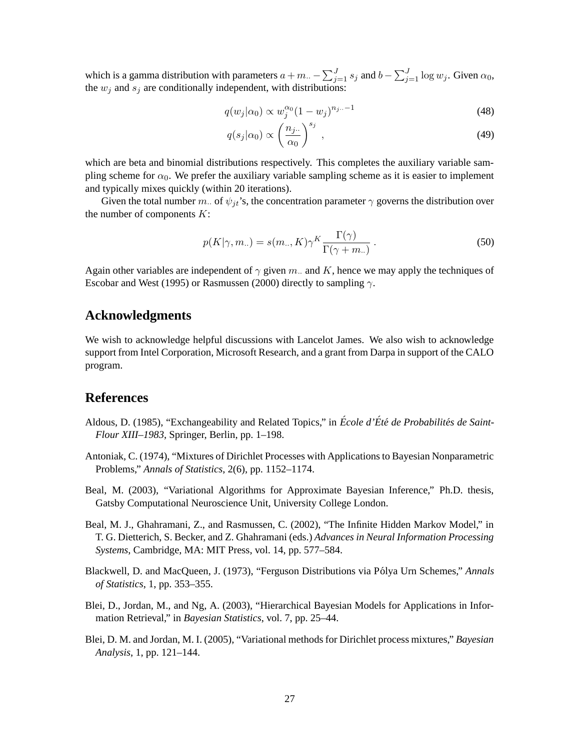which is a gamma distribution with parameters  $a+m$ .  $-\sum_{j=1}^{J}s_j$  and  $b-\sum_{j=1}^{J}\log w_j$ . Given  $\alpha_0$ , the  $w_i$  and  $s_i$  are conditionally independent, with distributions:

$$
q(w_j|\alpha_0) \propto w_j^{\alpha_0} (1 - w_j)^{n_j...-1}
$$
\n(48)

$$
q(s_j|\alpha_0) \propto \left(\frac{n_{j\cdot\cdot}}{\alpha_0}\right)^{s_j},\tag{49}
$$

which are beta and binomial distributions respectively. This completes the auxiliary variable sampling scheme for  $\alpha_0$ . We prefer the auxiliary variable sampling scheme as it is easier to implement and typically mixes quickly (within 20 iterations).

Given the total number m. of  $\psi_{it}$ 's, the concentration parameter  $\gamma$  governs the distribution over the number of components  $K$ :

$$
p(K|\gamma, m_{\cdot\cdot}) = s(m_{\cdot\cdot}, K)\gamma^K \frac{\Gamma(\gamma)}{\Gamma(\gamma + m_{\cdot\cdot})}.
$$
\n(50)

Again other variables are independent of  $\gamma$  given m. and K, hence we may apply the techniques of Escobar and West (1995) or Rasmussen (2000) directly to sampling  $\gamma$ .

# **Acknowledgments**

We wish to acknowledge helpful discussions with Lancelot James. We also wish to acknowledge support from Intel Corporation, Microsoft Research, and a grant from Darpa in support of the CALO program.

## **References**

- Aldous, D. (1985), "Exchangeability and Related Topics," in *École d'Été de Probabilités de Saint-Flour XIII–1983*, Springer, Berlin, pp. 1–198.
- Antoniak, C. (1974), "Mixtures of Dirichlet Processes with Applicationsto Bayesian Nonparametric Problems," *Annals of Statistics*, 2(6), pp. 1152–1174.
- Beal, M. (2003), "Variational Algorithms for Approximate Bayesian Inference," Ph.D. thesis, Gatsby Computational Neuroscience Unit, University College London.
- Beal, M. J., Ghahramani, Z., and Rasmussen, C. (2002), "The Infinite Hidden Markov Model," in T. G. Dietterich, S. Becker, and Z. Ghahramani (eds.) *Advances in Neural Information Processing Systems*, Cambridge, MA: MIT Press, vol. 14, pp. 577–584.
- Blackwell, D. and MacQueen, J. (1973), "Ferguson Distributions via Pólya Urn Schemes," *Annals of Statistics*, 1, pp. 353–355.
- Blei, D., Jordan, M., and Ng, A. (2003), "Hierarchical Bayesian Models for Applications in Information Retrieval," in *Bayesian Statistics*, vol. 7, pp. 25–44.
- Blei, D. M. and Jordan, M. I. (2005), "Variational methods for Dirichlet process mixtures," *Bayesian Analysis*, 1, pp. 121–144.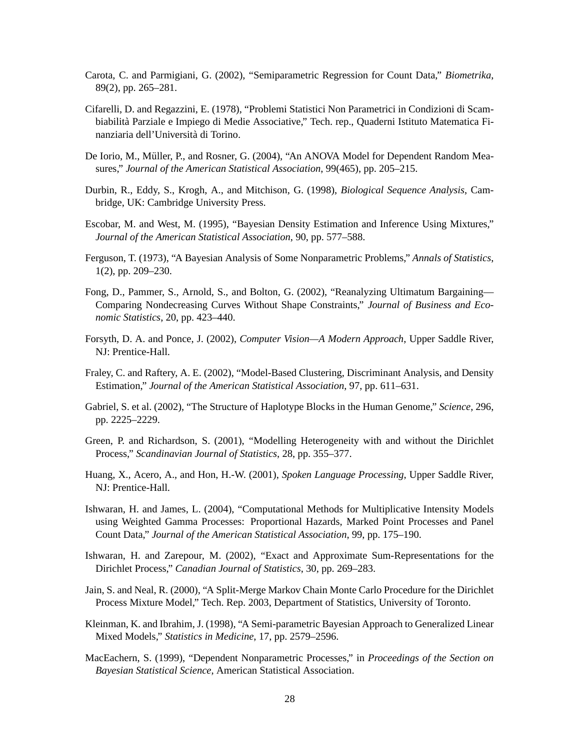- Carota, C. and Parmigiani, G. (2002), "Semiparametric Regression for Count Data," *Biometrika*, 89(2), pp. 265–281.
- Cifarelli, D. and Regazzini, E. (1978), "Problemi Statistici Non Parametrici in Condizioni di Scambiabilita` Parziale e Impiego di Medie Associative," Tech. rep., Quaderni Istituto Matematica Finanziaria dell'Universita` di Torino.
- De Iorio, M., Müller, P., and Rosner, G. (2004), "An ANOVA Model for Dependent Random Measures," *Journal of the American Statistical Association*, 99(465), pp. 205–215.
- Durbin, R., Eddy, S., Krogh, A., and Mitchison, G. (1998), *Biological Sequence Analysis*, Cambridge, UK: Cambridge University Press.
- Escobar, M. and West, M. (1995), "Bayesian Density Estimation and Inference Using Mixtures," *Journal of the American Statistical Association*, 90, pp. 577–588.
- Ferguson, T. (1973), "A Bayesian Analysis of Some Nonparametric Problems," *Annals of Statistics*, 1(2), pp. 209–230.
- Fong, D., Pammer, S., Arnold, S., and Bolton, G. (2002), "Reanalyzing Ultimatum Bargaining— Comparing Nondecreasing Curves Without Shape Constraints," *Journal of Business and Economic Statistics*, 20, pp. 423–440.
- Forsyth, D. A. and Ponce, J. (2002), *Computer Vision—A Modern Approach*, Upper Saddle River, NJ: Prentice-Hall.
- Fraley, C. and Raftery, A. E. (2002), "Model-Based Clustering, Discriminant Analysis, and Density Estimation," *Journal of the American Statistical Association*, 97, pp. 611–631.
- Gabriel, S. et al. (2002), "The Structure of Haplotype Blocks in the Human Genome," *Science*, 296, pp. 2225–2229.
- Green, P. and Richardson, S. (2001), "Modelling Heterogeneity with and without the Dirichlet Process," *Scandinavian Journal of Statistics*, 28, pp. 355–377.
- Huang, X., Acero, A., and Hon, H.-W. (2001), *Spoken Language Processing*, Upper Saddle River, NJ: Prentice-Hall.
- Ishwaran, H. and James, L. (2004), "Computational Methods for Multiplicative Intensity Models using Weighted Gamma Processes: Proportional Hazards, Marked Point Processes and Panel Count Data," *Journal of the American Statistical Association*, 99, pp. 175–190.
- Ishwaran, H. and Zarepour, M. (2002), "Exact and Approximate Sum-Representations for the Dirichlet Process," *Canadian Journal of Statistics*, 30, pp. 269–283.
- Jain, S. and Neal, R. (2000), "A Split-Merge Markov Chain Monte Carlo Procedure for the Dirichlet Process Mixture Model," Tech. Rep. 2003, Department of Statistics, University of Toronto.
- Kleinman, K. and Ibrahim, J. (1998), "A Semi-parametric Bayesian Approach to Generalized Linear Mixed Models," *Statistics in Medicine*, 17, pp. 2579–2596.
- MacEachern, S. (1999), "Dependent Nonparametric Processes," in *Proceedings of the Section on Bayesian Statistical Science*, American Statistical Association.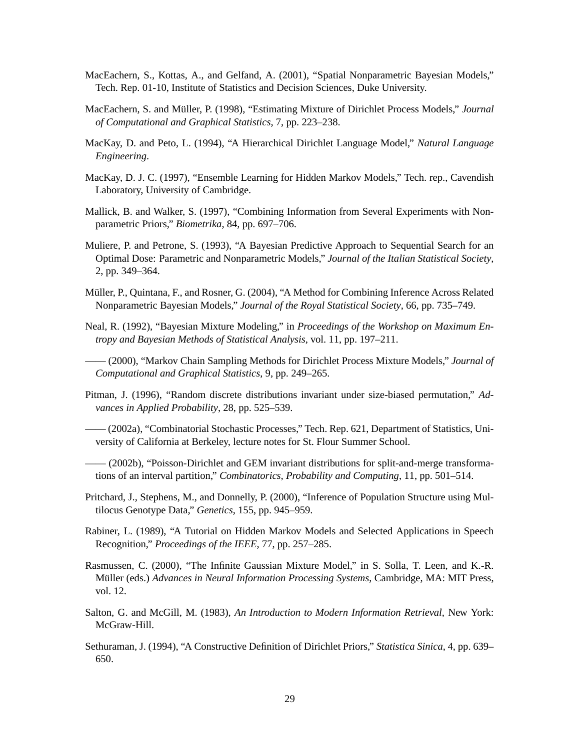- MacEachern, S., Kottas, A., and Gelfand, A. (2001), "Spatial Nonparametric Bayesian Models," Tech. Rep. 01-10, Institute of Statistics and Decision Sciences, Duke University.
- MacEachern, S. and Müller, P. (1998), "Estimating Mixture of Dirichlet Process Models," *Journal of Computational and Graphical Statistics*, 7, pp. 223–238.
- MacKay, D. and Peto, L. (1994), "A Hierarchical Dirichlet Language Model," *Natural Language Engineering*.
- MacKay, D. J. C. (1997), "Ensemble Learning for Hidden Markov Models," Tech. rep., Cavendish Laboratory, University of Cambridge.
- Mallick, B. and Walker, S. (1997), "Combining Information from Several Experiments with Nonparametric Priors," *Biometrika*, 84, pp. 697–706.
- Muliere, P. and Petrone, S. (1993), "A Bayesian Predictive Approach to Sequential Search for an Optimal Dose: Parametric and Nonparametric Models," *Journal of the Italian Statistical Society*, 2, pp. 349–364.
- Müller, P., Quintana, F., and Rosner, G. (2004), "A Method for Combining Inference Across Related Nonparametric Bayesian Models," *Journal of the Royal Statistical Society*, 66, pp. 735–749.
- Neal, R. (1992), "Bayesian Mixture Modeling," in *Proceedings of the Workshop on Maximum Entropy and Bayesian Methods of Statistical Analysis*, vol. 11, pp. 197–211.

—— (2000), "Markov Chain Sampling Methods for Dirichlet Process Mixture Models," *Journal of Computational and Graphical Statistics*, 9, pp. 249–265.

- Pitman, J. (1996), "Random discrete distributions invariant under size-biased permutation," *Advances in Applied Probability*, 28, pp. 525–539.
- —— (2002a), "Combinatorial Stochastic Processes," Tech. Rep. 621, Department of Statistics, University of California at Berkeley, lecture notes for St. Flour Summer School.
- —— (2002b), "Poisson-Dirichlet and GEM invariant distributions for split-and-merge transformations of an interval partition," *Combinatorics, Probability and Computing*, 11, pp. 501–514.
- Pritchard, J., Stephens, M., and Donnelly, P. (2000), "Inference of Population Structure using Multilocus Genotype Data," *Genetics*, 155, pp. 945–959.
- Rabiner, L. (1989), "A Tutorial on Hidden Markov Models and Selected Applications in Speech Recognition," *Proceedings of the IEEE*, 77, pp. 257–285.
- Rasmussen, C. (2000), "The Infinite Gaussian Mixture Model," in S. Solla, T. Leen, and K.-R. Muller ¨ (eds.) *Advances in Neural Information Processing Systems*, Cambridge, MA: MIT Press, vol. 12.
- Salton, G. and McGill, M. (1983), *An Introduction to Modern Information Retrieval*, New York: McGraw-Hill.
- Sethuraman, J. (1994), "A Constructive Definition of Dirichlet Priors," *Statistica Sinica*, 4, pp. 639– 650.